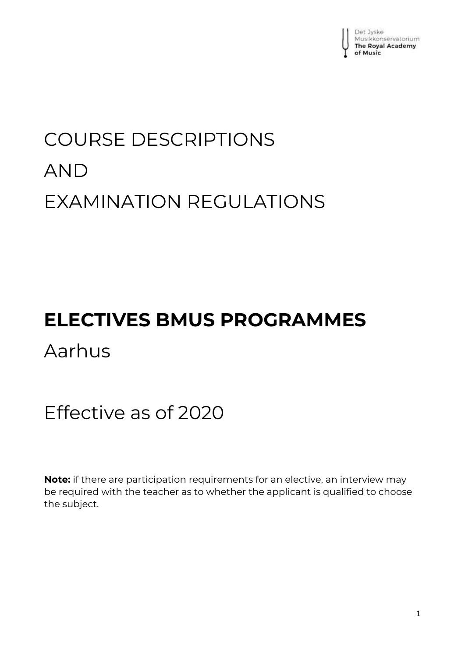

# COURSE DESCRIPTIONS AND EXAMINATION REGULATIONS

# **ELECTIVES BMUS PROGRAMMES**

Aarhus

# Effective as of 2020

**Note:** if there are participation requirements for an elective, an interview may be required with the teacher as to whether the applicant is qualified to choose the subject.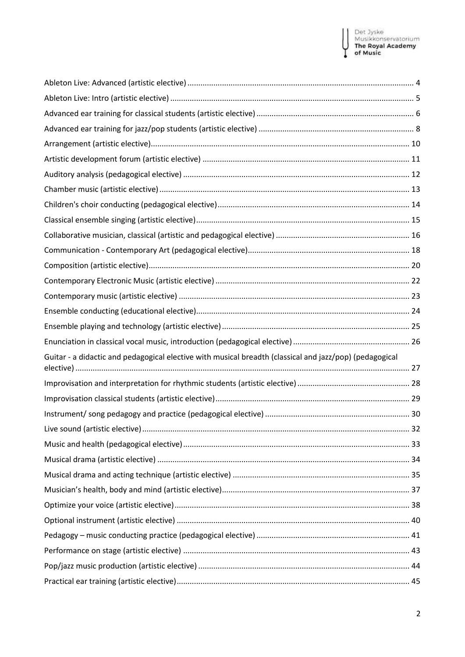### Det Jyske<br>Musikkonservatorium<br>**The Royal Academy**<br>**of Music** Н Ų

| Guitar - a didactic and pedagogical elective with musical breadth (classical and jazz/pop) (pedagogical |  |
|---------------------------------------------------------------------------------------------------------|--|
|                                                                                                         |  |
|                                                                                                         |  |
|                                                                                                         |  |
|                                                                                                         |  |
|                                                                                                         |  |
|                                                                                                         |  |
|                                                                                                         |  |
|                                                                                                         |  |
|                                                                                                         |  |
|                                                                                                         |  |
|                                                                                                         |  |
|                                                                                                         |  |
|                                                                                                         |  |
|                                                                                                         |  |
|                                                                                                         |  |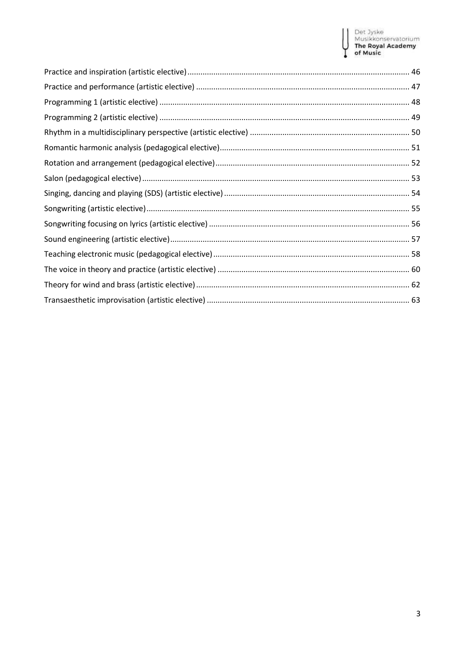### Det Jyske<br>Musikkonservatorium<br>**The Royal Academy**<br>**of Music**  $\mathbf{1}$ Y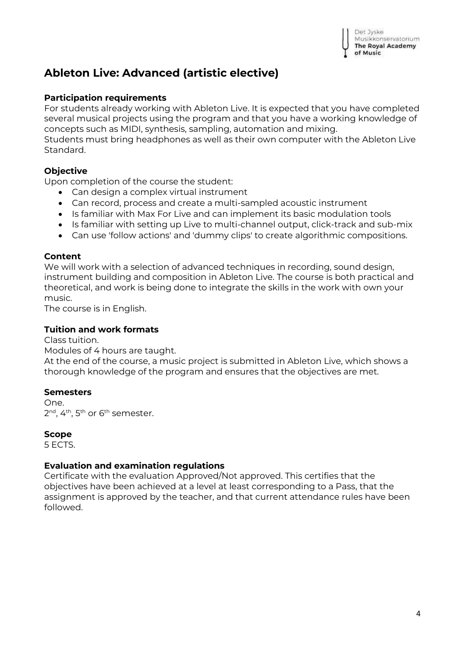

# <span id="page-3-0"></span>**Ableton Live: Advanced (artistic elective)**

#### **Participation requirements**

For students already working with Ableton Live. It is expected that you have completed several musical projects using the program and that you have a working knowledge of concepts such as MIDI, synthesis, sampling, automation and mixing.

Students must bring headphones as well as their own computer with the Ableton Live Standard.

#### **Objective**

Upon completion of the course the student:

- Can design a complex virtual instrument
- Can record, process and create a multi-sampled acoustic instrument
- Is familiar with Max For Live and can implement its basic modulation tools
- Is familiar with setting up Live to multi-channel output, click-track and sub-mix
- Can use 'follow actions' and 'dummy clips' to create algorithmic compositions.

#### **Content**

We will work with a selection of advanced techniques in recording, sound design, instrument building and composition in Ableton Live. The course is both practical and theoretical, and work is being done to integrate the skills in the work with own your music.

The course is in English.

#### **Tuition and work formats**

Class tuition.

Modules of 4 hours are taught.

At the end of the course, a music project is submitted in Ableton Live, which shows a thorough knowledge of the program and ensures that the objectives are met.

#### **Semesters**

One. 2<sup>nd</sup>, 4<sup>th</sup>, 5<sup>th</sup> or 6<sup>th</sup> semester.

#### **Scope**

5 ECTS.

#### **Evaluation and examination regulations**

Certificate with the evaluation Approved/Not approved. This certifies that the objectives have been achieved at a level at least corresponding to a Pass, that the assignment is approved by the teacher, and that current attendance rules have been followed.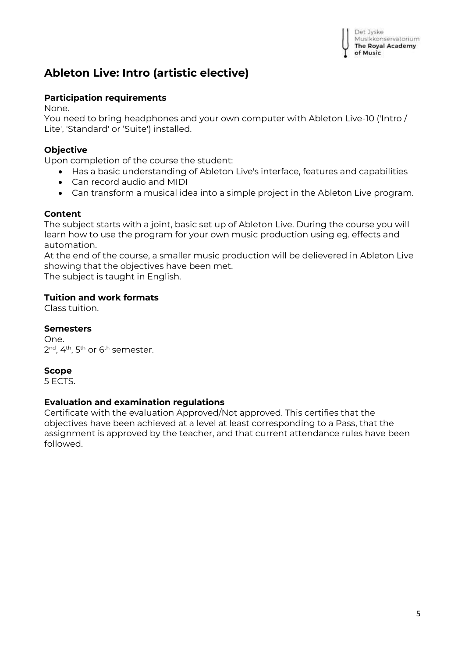|   | Det Jyske                |
|---|--------------------------|
| ļ | Musikkonservatorium      |
|   | <b>The Royal Academy</b> |
|   | of Music                 |

# <span id="page-4-0"></span>**Ableton Live: Intro (artistic elective)**

### **Participation requirements**

None.

You need to bring headphones and your own computer with Ableton Live-10 ('Intro / Lite', 'Standard' or 'Suite') installed.

### **Objective**

Upon completion of the course the student:

- Has a basic understanding of Ableton Live's interface, features and capabilities
- Can record audio and MIDI
- Can transform a musical idea into a simple project in the Ableton Live program.

### **Content**

The subject starts with a joint, basic set up of Ableton Live. During the course you will learn how to use the program for your own music production using eg. effects and automation.

At the end of the course, a smaller music production will be delievered in Ableton Live showing that the objectives have been met.

The subject is taught in English.

### **Tuition and work formats**

Class tuition.

### **Semesters**

One. 2<sup>nd</sup>, 4<sup>th</sup>, 5<sup>th</sup> or 6<sup>th</sup> semester.

### **Scope**

5 ECTS.

### **Evaluation and examination regulations**

Certificate with the evaluation Approved/Not approved. This certifies that the objectives have been achieved at a level at least corresponding to a Pass, that the assignment is approved by the teacher, and that current attendance rules have been followed.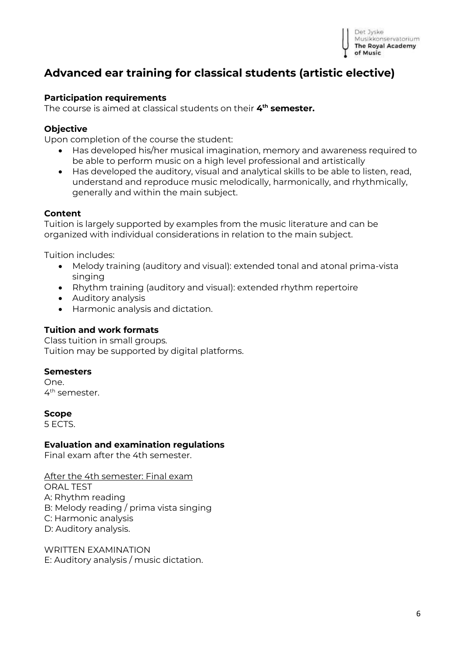

# <span id="page-5-0"></span>**Advanced ear training for classical students (artistic elective)**

#### **Participation requirements**

The course is aimed at classical students on their **4 th semester.**

#### **Objective**

Upon completion of the course the student:

- Has developed his/her musical imagination, memory and awareness required to be able to perform music on a high level professional and artistically
- Has developed the auditory, visual and analytical skills to be able to listen, read, understand and reproduce music melodically, harmonically, and rhythmically, generally and within the main subject.

#### **Content**

Tuition is largely supported by examples from the music literature and can be organized with individual considerations in relation to the main subject.

Tuition includes:

- Melody training (auditory and visual): extended tonal and atonal prima-vista singing
- Rhythm training (auditory and visual): extended rhythm repertoire
- Auditory analysis
- Harmonic analysis and dictation.

#### **Tuition and work formats**

Class tuition in small groups. Tuition may be supported by digital platforms.

#### **Semesters**

One. 4<sup>th</sup> semester.

#### **Scope**

5 ECTS.

#### **Evaluation and examination regulations**

Final exam after the 4th semester.

After the 4th semester: Final exam ORAL TEST A: Rhythm reading B: Melody reading / prima vista singing C: Harmonic analysis D: Auditory analysis.

WRITTEN EXAMINATION E: Auditory analysis / music dictation.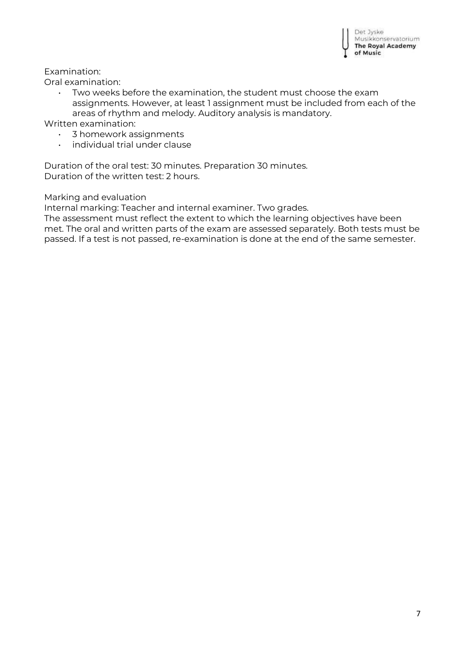

Examination:

Oral examination:

• Two weeks before the examination, the student must choose the exam assignments. However, at least 1 assignment must be included from each of the areas of rhythm and melody. Auditory analysis is mandatory.

Written examination:

- 3 homework assignments
- individual trial under clause

Duration of the oral test: 30 minutes. Preparation 30 minutes. Duration of the written test: 2 hours.

Marking and evaluation

Internal marking: Teacher and internal examiner. Two grades.

The assessment must reflect the extent to which the learning objectives have been met. The oral and written parts of the exam are assessed separately. Both tests must be passed. If a test is not passed, re-examination is done at the end of the same semester.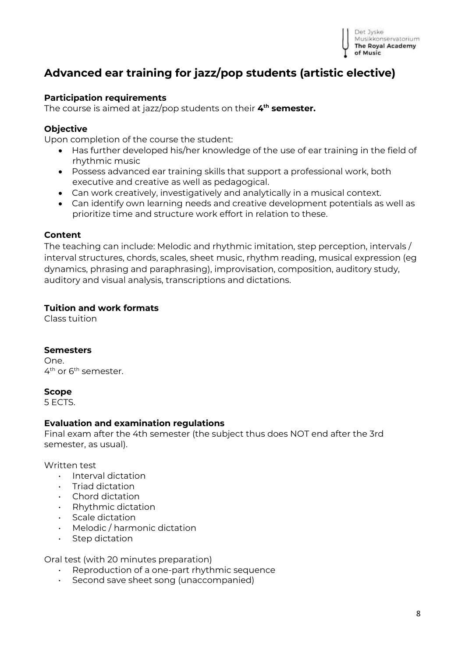

# <span id="page-7-0"></span>**Advanced ear training for jazz/pop students (artistic elective)**

#### **Participation requirements**

The course is aimed at jazz/pop students on their **4 th semester.**

#### **Objective**

Upon completion of the course the student:

- Has further developed his/her knowledge of the use of ear training in the field of rhythmic music
- Possess advanced ear training skills that support a professional work, both executive and creative as well as pedagogical.
- Can work creatively, investigatively and analytically in a musical context.
- Can identify own learning needs and creative development potentials as well as prioritize time and structure work effort in relation to these.

#### **Content**

The teaching can include: Melodic and rhythmic imitation, step perception, intervals / interval structures, chords, scales, sheet music, rhythm reading, musical expression (eg dynamics, phrasing and paraphrasing), improvisation, composition, auditory study, auditory and visual analysis, transcriptions and dictations.

#### **Tuition and work formats**

Class tuition

#### **Semesters**

One. 4<sup>th</sup> or 6<sup>th</sup> semester.

#### **Scope**

5 ECTS.

#### **Evaluation and examination regulations**

Final exam after the 4th semester (the subject thus does NOT end after the 3rd semester, as usual).

#### Written test

- Interval dictation
- Triad dictation
- Chord dictation
- Rhythmic dictation
- Scale dictation
- Melodic / harmonic dictation
- Step dictation

Oral test (with 20 minutes preparation)

- Reproduction of a one-part rhythmic sequence
- Second save sheet song (unaccompanied)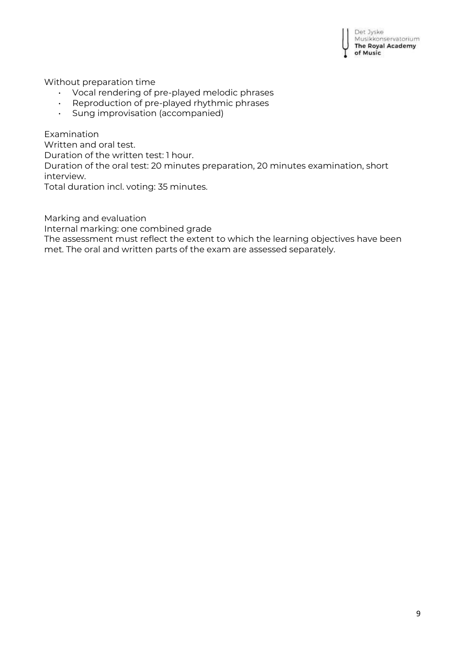Det Jyske Musikkonservatorium **The Royal Academy** of Music

Without preparation time

- Vocal rendering of pre-played melodic phrases
- Reproduction of pre-played rhythmic phrases
- Sung improvisation (accompanied)

Examination Written and oral test. Duration of the written test: 1 hour. Duration of the oral test: 20 minutes preparation, 20 minutes examination, short interview. Total duration incl. voting: 35 minutes.

Marking and evaluation Internal marking: one combined grade The assessment must reflect the extent to which the learning objectives have been met. The oral and written parts of the exam are assessed separately.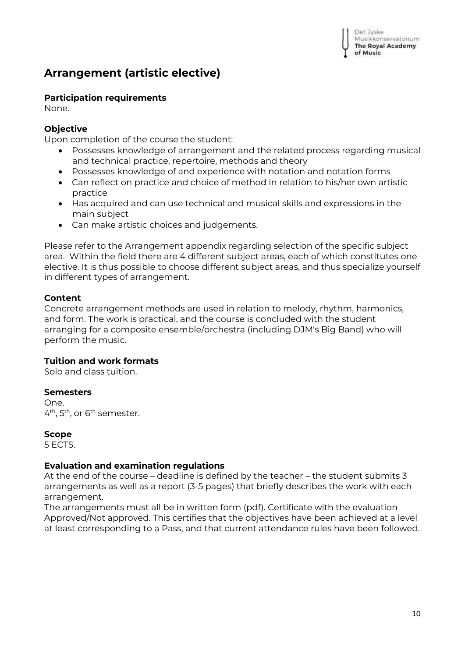# <span id="page-9-0"></span>**Arrangement (artistic elective)**

#### **Participation requirements**

None.

#### **Objective**

Upon completion of the course the student:

- Possesses knowledge of arrangement and the related process regarding musical and technical practice, repertoire, methods and theory
- Possesses knowledge of and experience with notation and notation forms
- Can reflect on practice and choice of method in relation to his/her own artistic practice
- Has acquired and can use technical and musical skills and expressions in the main subject
- Can make artistic choices and judgements.

Please refer to the Arrangement appendix regarding selection of the specific subject area. Within the field there are 4 different subject areas, each of which constitutes one elective. It is thus possible to choose different subject areas, and thus specialize yourself in different types of arrangement.

#### **Content**

Concrete arrangement methods are used in relation to melody, rhythm, harmonics, and form. The work is practical, and the course is concluded with the student arranging for a composite ensemble/orchestra (including DJM's Big Band) who will perform the music.

### **Tuition and work formats**

Solo and class tuition.

#### **Semesters**

One. 4<sup>th</sup>, 5<sup>th</sup>, or 6<sup>th</sup> semester.

#### **Scope**

5 ECTS.

### **Evaluation and examination regulations**

At the end of the course – deadline is defined by the teacher – the student submits 3 arrangements as well as a report (3-5 pages) that briefly describes the work with each arrangement.

The arrangements must all be in written form (pdf). Certificate with the evaluation Approved/Not approved. This certifies that the objectives have been achieved at a level at least corresponding to a Pass, and that current attendance rules have been followed.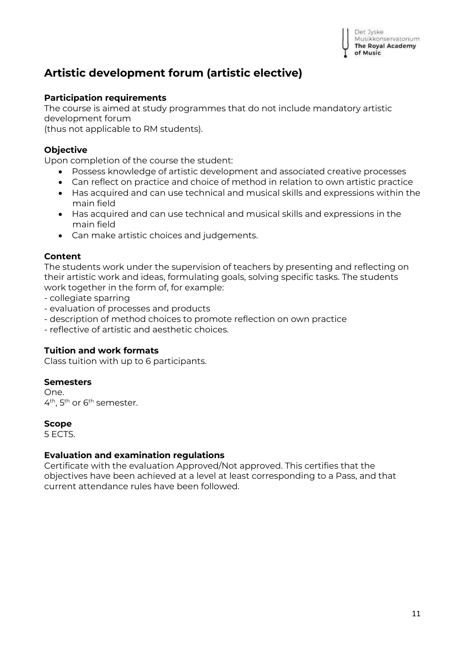

# <span id="page-10-0"></span>**Artistic development forum (artistic elective)**

#### **Participation requirements**

The course is aimed at study programmes that do not include mandatory artistic development forum

(thus not applicable to RM students).

### **Objective**

Upon completion of the course the student:

- Possess knowledge of artistic development and associated creative processes
- Can reflect on practice and choice of method in relation to own artistic practice
- Has acquired and can use technical and musical skills and expressions within the main field
- Has acquired and can use technical and musical skills and expressions in the main field
- Can make artistic choices and judgements.

#### **Content**

The students work under the supervision of teachers by presenting and reflecting on their artistic work and ideas, formulating goals, solving specific tasks. The students work together in the form of, for example:

- collegiate sparring

- evaluation of processes and products
- description of method choices to promote reflection on own practice
- reflective of artistic and aesthetic choices.

#### **Tuition and work formats**

Class tuition with up to 6 participants.

#### **Semesters**

One. 4<sup>th</sup>, 5<sup>th</sup> or 6<sup>th</sup> semester.

#### **Scope**

5 ECTS.

#### **Evaluation and examination regulations**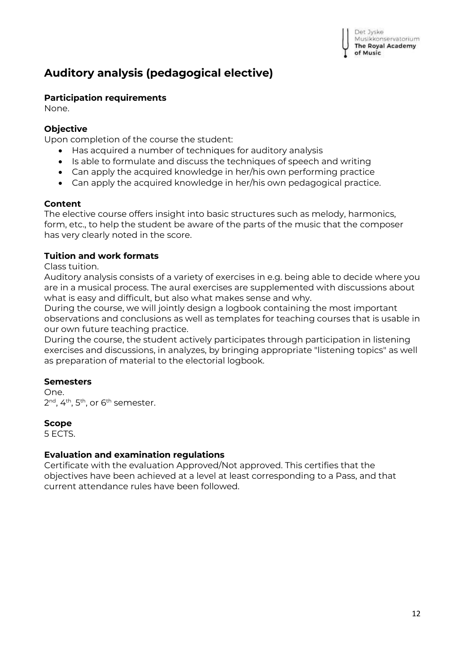# <span id="page-11-0"></span>**Auditory analysis (pedagogical elective)**

# **Participation requirements**

None.

# **Objective**

Upon completion of the course the student:

- Has acquired a number of techniques for auditory analysis
- Is able to formulate and discuss the techniques of speech and writing
- Can apply the acquired knowledge in her/his own performing practice
- Can apply the acquired knowledge in her/his own pedagogical practice.

# **Content**

The elective course offers insight into basic structures such as melody, harmonics, form, etc., to help the student be aware of the parts of the music that the composer has very clearly noted in the score.

# **Tuition and work formats**

Class tuition.

Auditory analysis consists of a variety of exercises in e.g. being able to decide where you are in a musical process. The aural exercises are supplemented with discussions about what is easy and difficult, but also what makes sense and why.

During the course, we will jointly design a logbook containing the most important observations and conclusions as well as templates for teaching courses that is usable in our own future teaching practice.

During the course, the student actively participates through participation in listening exercises and discussions, in analyzes, by bringing appropriate "listening topics" as well as preparation of material to the electorial logbook.

### **Semesters**

One. 2<sup>nd</sup>, 4<sup>th</sup>, 5<sup>th</sup>, or 6<sup>th</sup> semester.

### **Scope**

5 ECTS.

### **Evaluation and examination regulations**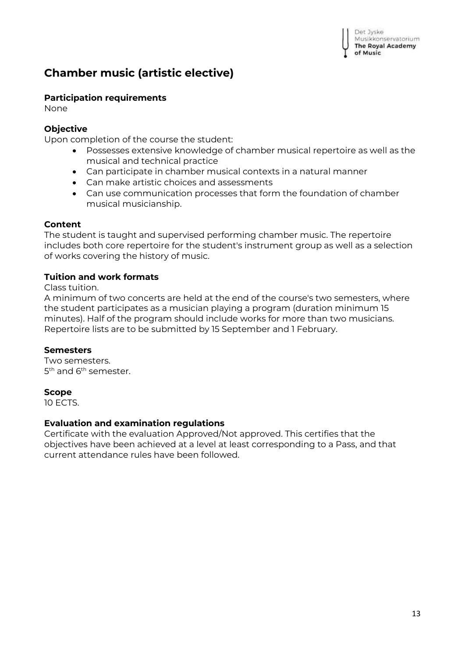# <span id="page-12-0"></span>**Chamber music (artistic elective)**

# **Participation requirements**

None

# **Objective**

Upon completion of the course the student:

- Possesses extensive knowledge of chamber musical repertoire as well as the musical and technical practice
- Can participate in chamber musical contexts in a natural manner
- Can make artistic choices and assessments
- Can use communication processes that form the foundation of chamber musical musicianship.

# **Content**

The student is taught and supervised performing chamber music. The repertoire includes both core repertoire for the student's instrument group as well as a selection of works covering the history of music.

# **Tuition and work formats**

Class tuition.

A minimum of two concerts are held at the end of the course's two semesters, where the student participates as a musician playing a program (duration minimum 15 minutes). Half of the program should include works for more than two musicians. Repertoire lists are to be submitted by 15 September and 1 February.

# **Semesters**

Two semesters. 5<sup>th</sup> and 6<sup>th</sup> semester.

# **Scope**

10 ECTS.

# **Evaluation and examination regulations**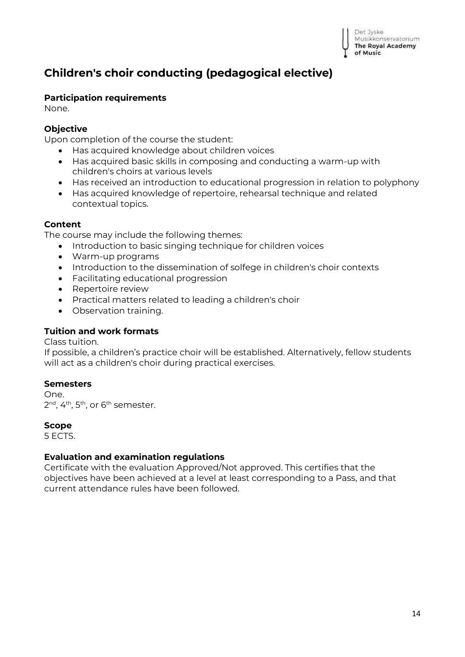

# <span id="page-13-0"></span>**Children's choir conducting (pedagogical elective)**

#### **Participation requirements**

None.

#### **Objective**

Upon completion of the course the student:

- Has acquired knowledge about children voices
- Has acquired basic skills in composing and conducting a warm-up with children's choirs at various levels
- Has received an introduction to educational progression in relation to polyphony
- Has acquired knowledge of repertoire, rehearsal technique and related contextual topics.

#### **Content**

The course may include the following themes:

- Introduction to basic singing technique for children voices
- Warm-up programs
- Introduction to the dissemination of solfege in children's choir contexts
- Facilitating educational progression
- Repertoire review
- Practical matters related to leading a children's choir
- Observation training.

#### **Tuition and work formats**

Class tuition.

If possible, a children's practice choir will be established. Alternatively, fellow students will act as a children's choir during practical exercises.

#### **Semesters**

One. 2<sup>nd</sup>, 4<sup>th</sup>, 5<sup>th</sup>, or 6<sup>th</sup> semester.

#### **Scope**

5 ECTS.

#### **Evaluation and examination regulations**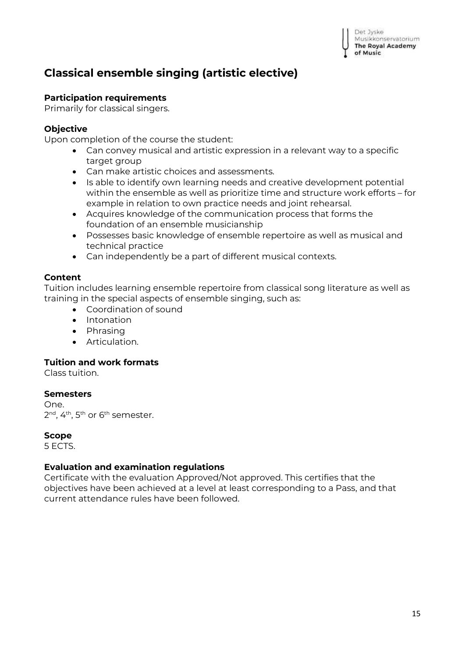# <span id="page-14-0"></span>**Classical ensemble singing (artistic elective)**

#### **Participation requirements**

Primarily for classical singers.

#### **Objective**

Upon completion of the course the student:

- Can convey musical and artistic expression in a relevant way to a specific target group
- Can make artistic choices and assessments.
- Is able to identify own learning needs and creative development potential within the ensemble as well as prioritize time and structure work efforts – for example in relation to own practice needs and joint rehearsal.
- Acquires knowledge of the communication process that forms the foundation of an ensemble musicianship
- Possesses basic knowledge of ensemble repertoire as well as musical and technical practice
- Can independently be a part of different musical contexts.

#### **Content**

Tuition includes learning ensemble repertoire from classical song literature as well as training in the special aspects of ensemble singing, such as:

- Coordination of sound
- Intonation
- Phrasing
- Articulation.

#### **Tuition and work formats**

Class tuition.

#### **Semesters**

One. 2<sup>nd</sup>, 4<sup>th</sup>, 5<sup>th</sup> or 6<sup>th</sup> semester.

#### **Scope**

5 ECTS.

#### **Evaluation and examination regulations**

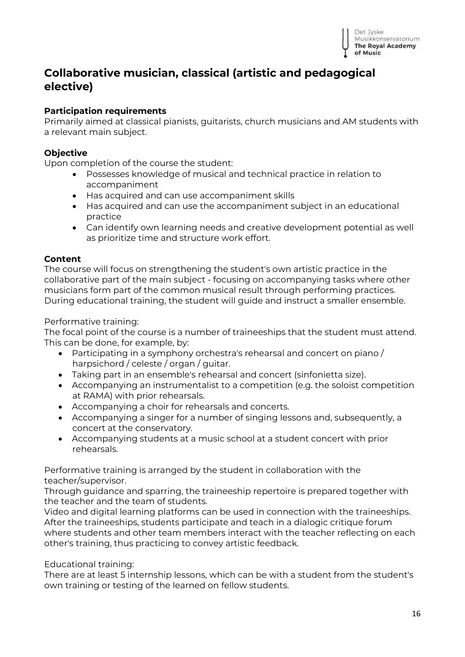

# <span id="page-15-0"></span>**Collaborative musician, classical (artistic and pedagogical elective)**

#### **Participation requirements**

Primarily aimed at classical pianists, guitarists, church musicians and AM students with a relevant main subject.

#### **Objective**

Upon completion of the course the student:

- Possesses knowledge of musical and technical practice in relation to accompaniment
- Has acquired and can use accompaniment skills
- Has acquired and can use the accompaniment subject in an educational practice
- Can identify own learning needs and creative development potential as well as prioritize time and structure work effort.

#### **Content**

The course will focus on strengthening the student's own artistic practice in the collaborative part of the main subject - focusing on accompanying tasks where other musicians form part of the common musical result through performing practices. During educational training, the student will guide and instruct a smaller ensemble.

#### Performative training:

The focal point of the course is a number of traineeships that the student must attend. This can be done, for example, by:

- Participating in a symphony orchestra's rehearsal and concert on piano / harpsichord / celeste / organ / guitar.
- Taking part in an ensemble's rehearsal and concert (sinfonietta size).
- Accompanying an instrumentalist to a competition (e.g. the soloist competition at RAMA) with prior rehearsals.
- Accompanying a choir for rehearsals and concerts.
- Accompanying a singer for a number of singing lessons and, subsequently, a concert at the conservatory.
- Accompanying students at a music school at a student concert with prior rehearsals.

Performative training is arranged by the student in collaboration with the teacher/supervisor.

Through guidance and sparring, the traineeship repertoire is prepared together with the teacher and the team of students.

Video and digital learning platforms can be used in connection with the traineeships. After the traineeships, students participate and teach in a dialogic critique forum where students and other team members interact with the teacher reflecting on each other's training, thus practicing to convey artistic feedback.

Educational training:

There are at least 5 internship lessons, which can be with a student from the student's own training or testing of the learned on fellow students.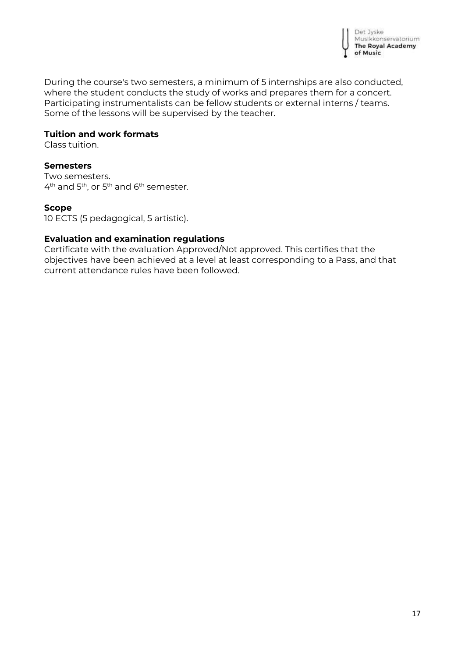

During the course's two semesters, a minimum of 5 internships are also conducted, where the student conducts the study of works and prepares them for a concert. Participating instrumentalists can be fellow students or external interns / teams. Some of the lessons will be supervised by the teacher.

#### **Tuition and work formats**

Class tuition.

#### **Semesters**

Two semesters.  $4^{\text{th}}$  and  $5^{\text{th}}$ , or  $5^{\text{th}}$  and  $6^{\text{th}}$  semester.

#### **Scope**

10 ECTS (5 pedagogical, 5 artistic).

#### **Evaluation and examination regulations**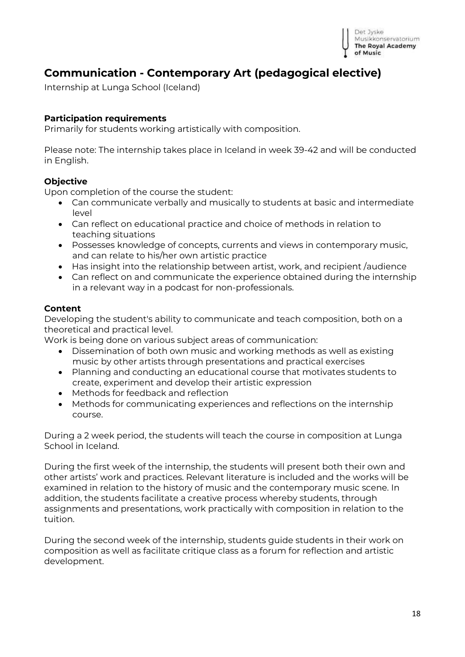

# <span id="page-17-0"></span>**Communication - Contemporary Art (pedagogical elective)**

Internship at Lunga School (Iceland)

#### **Participation requirements**

Primarily for students working artistically with composition.

Please note: The internship takes place in Iceland in week 39-42 and will be conducted in English.

#### **Objective**

Upon completion of the course the student:

- Can communicate verbally and musically to students at basic and intermediate level
- Can reflect on educational practice and choice of methods in relation to teaching situations
- Possesses knowledge of concepts, currents and views in contemporary music, and can relate to his/her own artistic practice
- Has insight into the relationship between artist, work, and recipient /audience
- Can reflect on and communicate the experience obtained during the internship in a relevant way in a podcast for non-professionals.

#### **Content**

Developing the student's ability to communicate and teach composition, both on a theoretical and practical level.

Work is being done on various subject areas of communication:

- Dissemination of both own music and working methods as well as existing music by other artists through presentations and practical exercises
- Planning and conducting an educational course that motivates students to create, experiment and develop their artistic expression
- Methods for feedback and reflection
- Methods for communicating experiences and reflections on the internship course.

During a 2 week period, the students will teach the course in composition at Lunga School in Iceland.

During the first week of the internship, the students will present both their own and other artists' work and practices. Relevant literature is included and the works will be examined in relation to the history of music and the contemporary music scene. In addition, the students facilitate a creative process whereby students, through assignments and presentations, work practically with composition in relation to the tuition.

During the second week of the internship, students guide students in their work on composition as well as facilitate critique class as a forum for reflection and artistic development.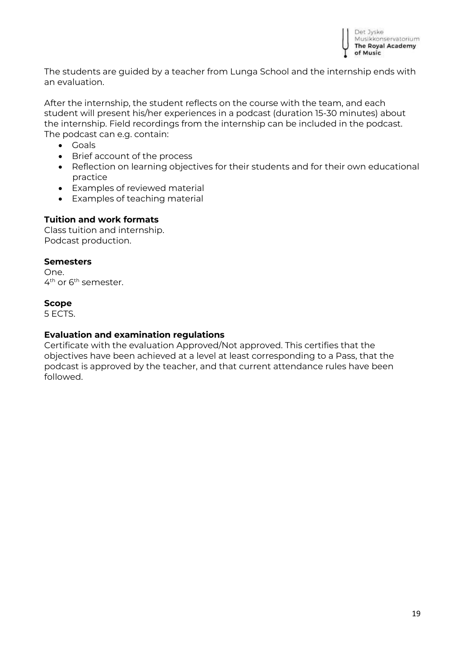

The students are guided by a teacher from Lunga School and the internship ends with an evaluation.

After the internship, the student reflects on the course with the team, and each student will present his/her experiences in a podcast (duration 15-30 minutes) about the internship. Field recordings from the internship can be included in the podcast. The podcast can e.g. contain:

- Goals
- Brief account of the process
- Reflection on learning objectives for their students and for their own educational practice
- Examples of reviewed material
- Examples of teaching material

#### **Tuition and work formats**

Class tuition and internship. Podcast production.

#### **Semesters**

One. 4<sup>th</sup> or 6<sup>th</sup> semester.

#### **Scope**

5 ECTS.

#### **Evaluation and examination regulations**

Certificate with the evaluation Approved/Not approved. This certifies that the objectives have been achieved at a level at least corresponding to a Pass, that the podcast is approved by the teacher, and that current attendance rules have been followed.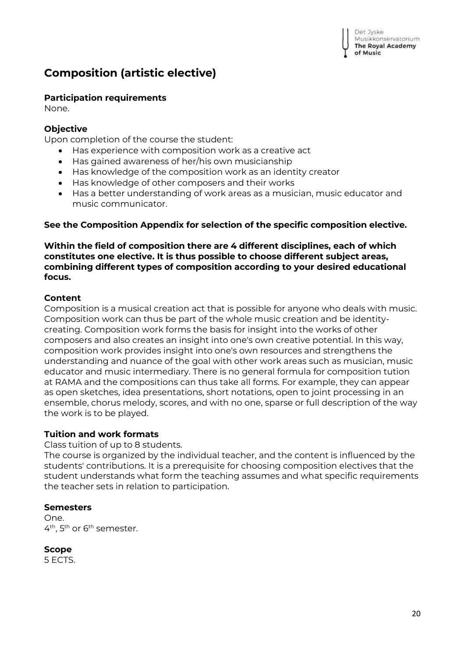```
Det Jyske
Musikkonservatorium
The Royal Academy
of Music
```
# <span id="page-19-0"></span>**Composition (artistic elective)**

#### **Participation requirements**

None.

#### **Objective**

Upon completion of the course the student:

- Has experience with composition work as a creative act
- Has gained awareness of her/his own musicianship
- Has knowledge of the composition work as an identity creator
- Has knowledge of other composers and their works
- Has a better understanding of work areas as a musician, music educator and music communicator.

#### **See the Composition Appendix for selection of the specific composition elective.**

**Within the field of composition there are 4 different disciplines, each of which constitutes one elective. It is thus possible to choose different subject areas, combining different types of composition according to your desired educational focus.** 

#### **Content**

Composition is a musical creation act that is possible for anyone who deals with music. Composition work can thus be part of the whole music creation and be identitycreating. Composition work forms the basis for insight into the works of other composers and also creates an insight into one's own creative potential. In this way, composition work provides insight into one's own resources and strengthens the understanding and nuance of the goal with other work areas such as musician, music educator and music intermediary. There is no general formula for composition tution at RAMA and the compositions can thus take all forms. For example, they can appear as open sketches, idea presentations, short notations, open to joint processing in an ensemble, chorus melody, scores, and with no one, sparse or full description of the way the work is to be played.

### **Tuition and work formats**

Class tuition of up to 8 students.

The course is organized by the individual teacher, and the content is influenced by the students' contributions. It is a prerequisite for choosing composition electives that the student understands what form the teaching assumes and what specific requirements the teacher sets in relation to participation.

#### **Semesters**

One. 4<sup>th</sup>, 5<sup>th</sup> or 6<sup>th</sup> semester.

**Scope**

5 ECTS.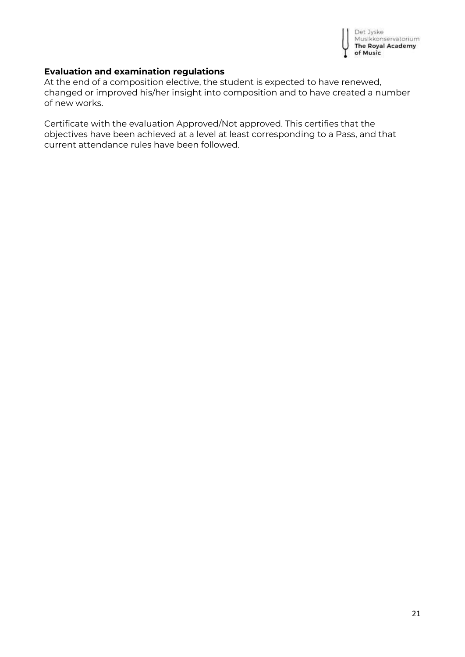

#### **Evaluation and examination regulations**

At the end of a composition elective, the student is expected to have renewed, changed or improved his/her insight into composition and to have created a number of new works.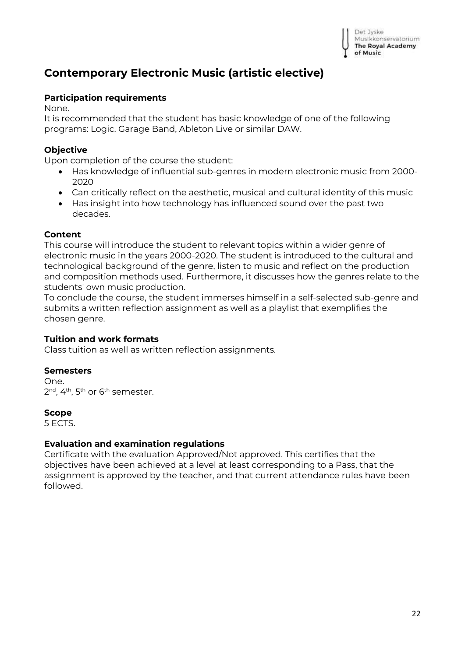

# <span id="page-21-0"></span>**Contemporary Electronic Music (artistic elective)**

#### **Participation requirements**

None.

It is recommended that the student has basic knowledge of one of the following programs: Logic, Garage Band, Ableton Live or similar DAW.

#### **Objective**

Upon completion of the course the student:

- Has knowledge of influential sub-genres in modern electronic music from 2000- 2020
- Can critically reflect on the aesthetic, musical and cultural identity of this music
- Has insight into how technology has influenced sound over the past two decades.

#### **Content**

This course will introduce the student to relevant topics within a wider genre of electronic music in the years 2000-2020. The student is introduced to the cultural and technological background of the genre, listen to music and reflect on the production and composition methods used. Furthermore, it discusses how the genres relate to the students' own music production.

To conclude the course, the student immerses himself in a self-selected sub-genre and submits a written reflection assignment as well as a playlist that exemplifies the chosen genre.

#### **Tuition and work formats**

Class tuition as well as written reflection assignments.

#### **Semesters**

One. 2<sup>nd</sup>, 4<sup>th</sup>, 5<sup>th</sup> or 6<sup>th</sup> semester.

#### **Scope**

5 ECTS.

#### **Evaluation and examination regulations**

Certificate with the evaluation Approved/Not approved. This certifies that the objectives have been achieved at a level at least corresponding to a Pass, that the assignment is approved by the teacher, and that current attendance rules have been followed.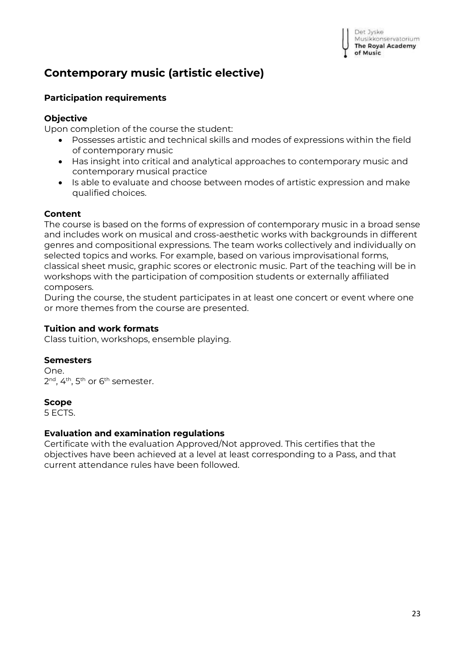# <span id="page-22-0"></span>**Contemporary music (artistic elective)**

#### **Participation requirements**

#### **Objective**

Upon completion of the course the student:

- Possesses artistic and technical skills and modes of expressions within the field of contemporary music
- Has insight into critical and analytical approaches to contemporary music and contemporary musical practice
- Is able to evaluate and choose between modes of artistic expression and make qualified choices.

#### **Content**

The course is based on the forms of expression of contemporary music in a broad sense and includes work on musical and cross-aesthetic works with backgrounds in different genres and compositional expressions. The team works collectively and individually on selected topics and works. For example, based on various improvisational forms, classical sheet music, graphic scores or electronic music. Part of the teaching will be in workshops with the participation of composition students or externally affiliated composers.

During the course, the student participates in at least one concert or event where one or more themes from the course are presented.

#### **Tuition and work formats**

Class tuition, workshops, ensemble playing.

#### **Semesters**

One. 2<sup>nd</sup>, 4<sup>th</sup>, 5<sup>th</sup> or 6<sup>th</sup> semester.

#### **Scope**

5 ECTS.

#### **Evaluation and examination regulations**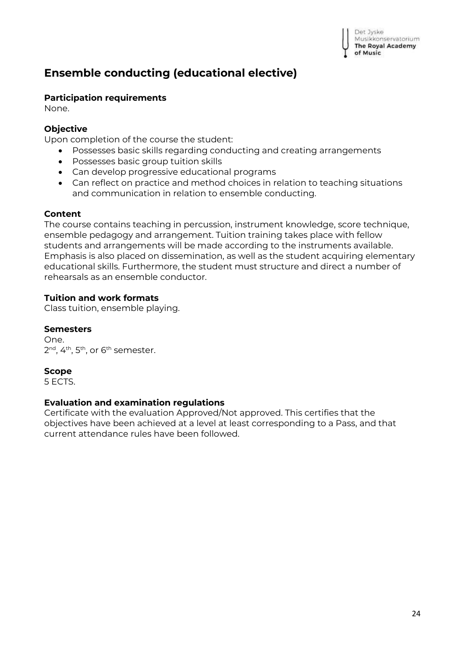

# <span id="page-23-0"></span>**Ensemble conducting (educational elective)**

#### **Participation requirements**

None.

#### **Objective**

Upon completion of the course the student:

- Possesses basic skills regarding conducting and creating arrangements
- Possesses basic group tuition skills
- Can develop progressive educational programs
- Can reflect on practice and method choices in relation to teaching situations and communication in relation to ensemble conducting.

#### **Content**

The course contains teaching in percussion, instrument knowledge, score technique, ensemble pedagogy and arrangement. Tuition training takes place with fellow students and arrangements will be made according to the instruments available. Emphasis is also placed on dissemination, as well as the student acquiring elementary educational skills. Furthermore, the student must structure and direct a number of rehearsals as an ensemble conductor.

#### **Tuition and work formats**

Class tuition, ensemble playing.

#### **Semesters**

One. 2<sup>nd</sup>, 4<sup>th</sup>, 5<sup>th</sup>, or 6<sup>th</sup> semester.

### **Scope**

5 ECTS.

#### **Evaluation and examination regulations**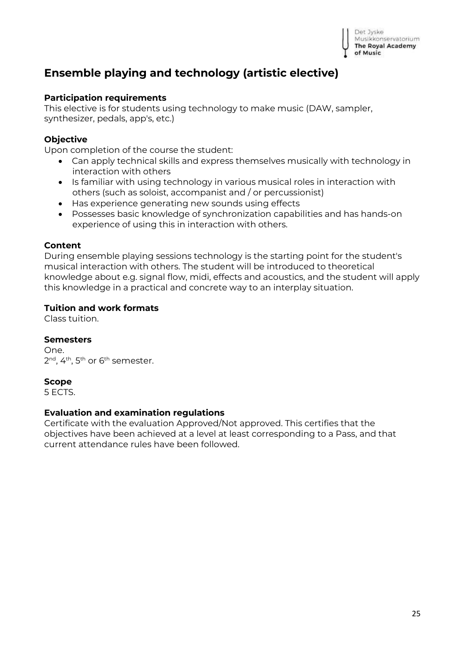

# <span id="page-24-0"></span>**Ensemble playing and technology (artistic elective)**

#### **Participation requirements**

This elective is for students using technology to make music (DAW, sampler, synthesizer, pedals, app's, etc.)

#### **Objective**

Upon completion of the course the student:

- Can apply technical skills and express themselves musically with technology in interaction with others
- Is familiar with using technology in various musical roles in interaction with others (such as soloist, accompanist and / or percussionist)
- Has experience generating new sounds using effects
- Possesses basic knowledge of synchronization capabilities and has hands-on experience of using this in interaction with others.

#### **Content**

During ensemble playing sessions technology is the starting point for the student's musical interaction with others. The student will be introduced to theoretical knowledge about e.g. signal flow, midi, effects and acoustics, and the student will apply this knowledge in a practical and concrete way to an interplay situation.

#### **Tuition and work formats**

Class tuition.

#### **Semesters**

One. 2<sup>nd</sup>, 4<sup>th</sup>, 5<sup>th</sup> or 6<sup>th</sup> semester.

#### **Scope**

5 ECTS.

#### **Evaluation and examination regulations**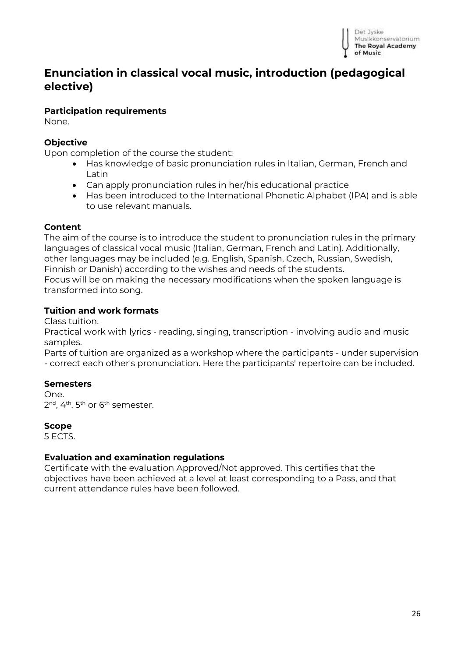

# <span id="page-25-0"></span>**Enunciation in classical vocal music, introduction (pedagogical elective)**

#### **Participation requirements**

None.

#### **Objective**

Upon completion of the course the student:

- Has knowledge of basic pronunciation rules in Italian, German, French and Latin
- Can apply pronunciation rules in her/his educational practice
- Has been introduced to the International Phonetic Alphabet (IPA) and is able to use relevant manuals.

#### **Content**

The aim of the course is to introduce the student to pronunciation rules in the primary languages of classical vocal music (Italian, German, French and Latin). Additionally, other languages may be included (e.g. English, Spanish, Czech, Russian, Swedish, Finnish or Danish) according to the wishes and needs of the students. Focus will be on making the necessary modifications when the spoken language is transformed into song.

#### **Tuition and work formats**

Class tuition.

Practical work with lyrics - reading, singing, transcription - involving audio and music samples.

Parts of tuition are organized as a workshop where the participants - under supervision - correct each other's pronunciation. Here the participants' repertoire can be included.

#### **Semesters**

One. 2<sup>nd</sup>, 4<sup>th</sup>, 5<sup>th</sup> or 6<sup>th</sup> semester.

#### **Scope**

5 ECTS.

#### **Evaluation and examination regulations**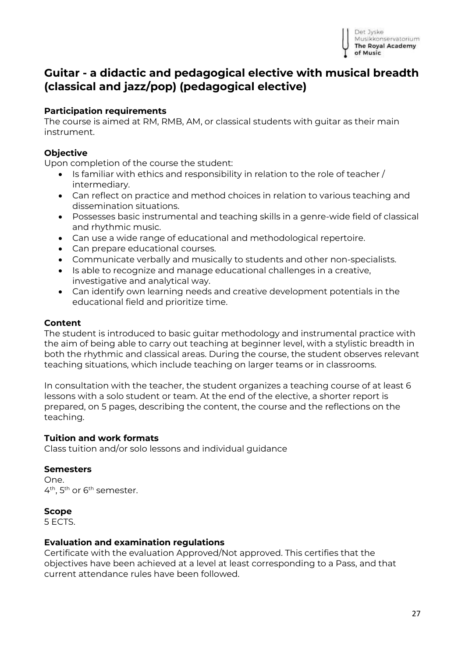

# <span id="page-26-0"></span>**Guitar - a didactic and pedagogical elective with musical breadth (classical and jazz/pop) (pedagogical elective)**

#### **Participation requirements**

The course is aimed at RM, RMB, AM, or classical students with guitar as their main instrument.

#### **Objective**

Upon completion of the course the student:

- $\bullet$  Is familiar with ethics and responsibility in relation to the role of teacher / intermediary.
- Can reflect on practice and method choices in relation to various teaching and dissemination situations.
- Possesses basic instrumental and teaching skills in a genre-wide field of classical and rhythmic music.
- Can use a wide range of educational and methodological repertoire.
- Can prepare educational courses.
- Communicate verbally and musically to students and other non-specialists.
- Is able to recognize and manage educational challenges in a creative, investigative and analytical way.
- Can identify own learning needs and creative development potentials in the educational field and prioritize time.

#### **Content**

The student is introduced to basic guitar methodology and instrumental practice with the aim of being able to carry out teaching at beginner level, with a stylistic breadth in both the rhythmic and classical areas. During the course, the student observes relevant teaching situations, which include teaching on larger teams or in classrooms.

In consultation with the teacher, the student organizes a teaching course of at least 6 lessons with a solo student or team. At the end of the elective, a shorter report is prepared, on 5 pages, describing the content, the course and the reflections on the teaching.

#### **Tuition and work formats**

Class tuition and/or solo lessons and individual guidance

#### **Semesters**

One. 4<sup>th</sup>, 5<sup>th</sup> or 6<sup>th</sup> semester.

#### **Scope**

5 ECTS.

#### **Evaluation and examination regulations**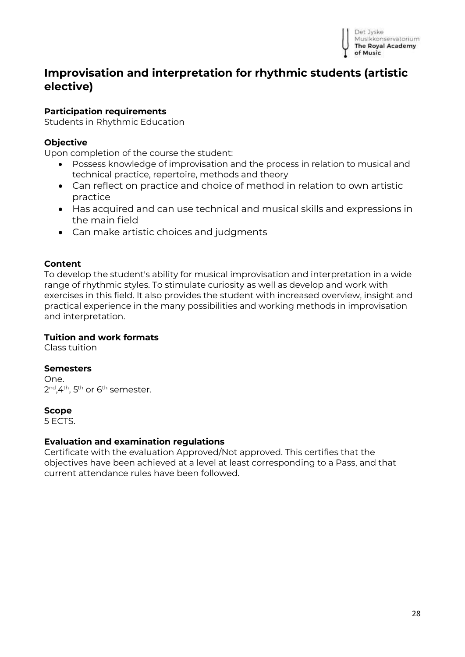

# <span id="page-27-0"></span>**Improvisation and interpretation for rhythmic students (artistic elective)**

#### **Participation requirements**

Students in Rhythmic Education

#### **Objective**

Upon completion of the course the student:

- Possess knowledge of improvisation and the process in relation to musical and technical practice, repertoire, methods and theory
- Can reflect on practice and choice of method in relation to own artistic practice
- Has acquired and can use technical and musical skills and expressions in the main field
- Can make artistic choices and judgments

#### **Content**

To develop the student's ability for musical improvisation and interpretation in a wide range of rhythmic styles. To stimulate curiosity as well as develop and work with exercises in this field. It also provides the student with increased overview, insight and practical experience in the many possibilities and working methods in improvisation and interpretation.

#### **Tuition and work formats**

Class tuition

#### **Semesters**

One. 2<sup>nd</sup>,4<sup>th</sup>, 5<sup>th</sup> or 6<sup>th</sup> semester.

#### **Scope**

5 ECTS.

#### **Evaluation and examination regulations**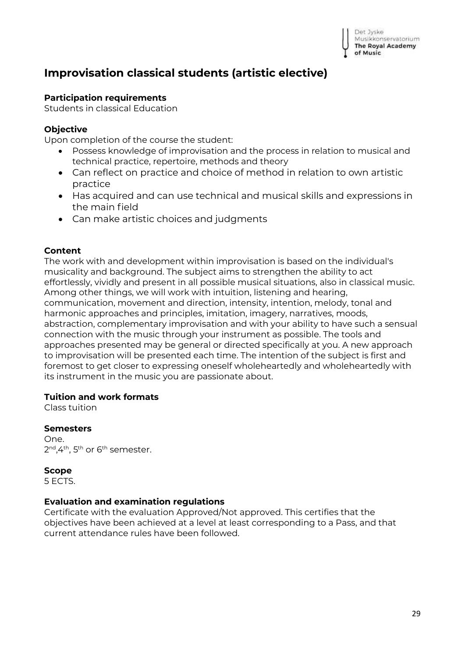# <span id="page-28-0"></span>**Improvisation classical students (artistic elective)**

#### **Participation requirements**

Students in classical Education

#### **Objective**

Upon completion of the course the student:

- Possess knowledge of improvisation and the process in relation to musical and technical practice, repertoire, methods and theory
- Can reflect on practice and choice of method in relation to own artistic practice
- Has acquired and can use technical and musical skills and expressions in the main field
- Can make artistic choices and judgments

#### **Content**

The work with and development within improvisation is based on the individual's musicality and background. The subject aims to strengthen the ability to act effortlessly, vividly and present in all possible musical situations, also in classical music. Among other things, we will work with intuition, listening and hearing, communication, movement and direction, intensity, intention, melody, tonal and harmonic approaches and principles, imitation, imagery, narratives, moods, abstraction, complementary improvisation and with your ability to have such a sensual connection with the music through your instrument as possible. The tools and approaches presented may be general or directed specifically at you. A new approach to improvisation will be presented each time. The intention of the subject is first and foremost to get closer to expressing oneself wholeheartedly and wholeheartedly with its instrument in the music you are passionate about.

#### **Tuition and work formats**

Class tuition

#### **Semesters**

One. 2<sup>nd</sup>,4<sup>th</sup>, 5<sup>th</sup> or 6<sup>th</sup> semester.

**Scope**

5 ECTS.

#### **Evaluation and examination regulations**

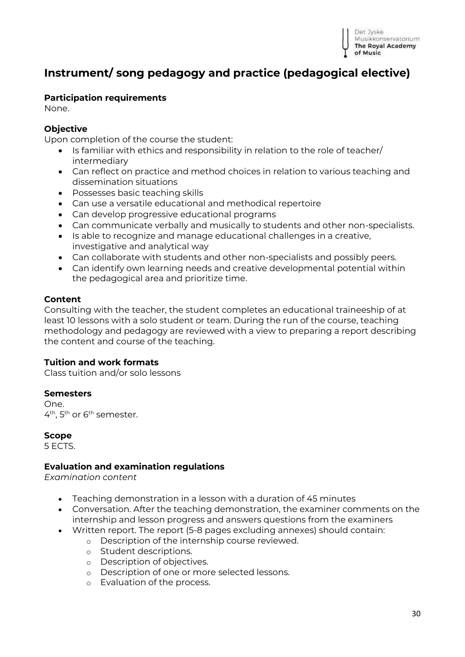

# <span id="page-29-0"></span>**Instrument/ song pedagogy and practice (pedagogical elective)**

#### **Participation requirements**

None.

#### **Objective**

Upon completion of the course the student:

- Is familiar with ethics and responsibility in relation to the role of teacher/ intermediary
- Can reflect on practice and method choices in relation to various teaching and dissemination situations
- Possesses basic teaching skills
- Can use a versatile educational and methodical repertoire
- Can develop progressive educational programs
- Can communicate verbally and musically to students and other non-specialists.
- Is able to recognize and manage educational challenges in a creative, investigative and analytical way
- Can collaborate with students and other non-specialists and possibly peers.
- Can identify own learning needs and creative developmental potential within the pedagogical area and prioritize time.

#### **Content**

Consulting with the teacher, the student completes an educational traineeship of at least 10 lessons with a solo student or team. During the run of the course, teaching methodology and pedagogy are reviewed with a view to preparing a report describing the content and course of the teaching.

#### **Tuition and work formats**

Class tuition and/or solo lessons

#### **Semesters**

One. 4<sup>th</sup>, 5<sup>th</sup> or 6<sup>th</sup> semester.

**Scope**

5 ECTS.

#### **Evaluation and examination regulations**

*Examination content*

- Teaching demonstration in a lesson with a duration of 45 minutes
- Conversation. After the teaching demonstration, the examiner comments on the internship and lesson progress and answers questions from the examiners
- Written report. The report (5-8 pages excluding annexes) should contain:
	- o Description of the internship course reviewed.
	- o Student descriptions.
	- o Description of objectives.
	- o Description of one or more selected lessons.
	- o Evaluation of the process.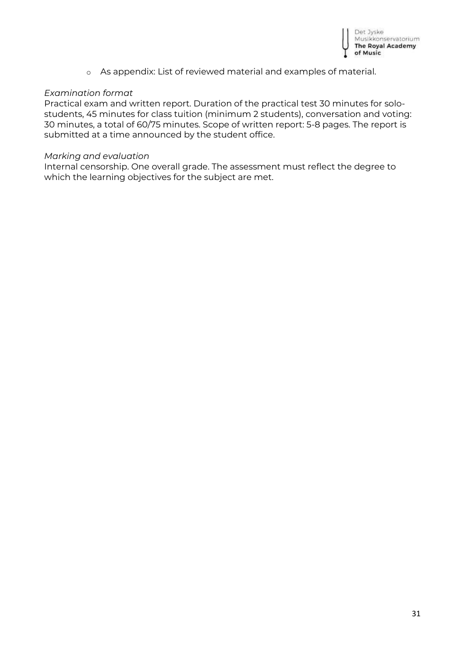

o As appendix: List of reviewed material and examples of material.

#### *Examination format*

Practical exam and written report. Duration of the practical test 30 minutes for solostudents, 45 minutes for class tuition (minimum 2 students), conversation and voting: 30 minutes, a total of 60/75 minutes. Scope of written report: 5-8 pages. The report is submitted at a time announced by the student office.

#### *Marking and evaluation*

Internal censorship. One overall grade. The assessment must reflect the degree to which the learning objectives for the subject are met.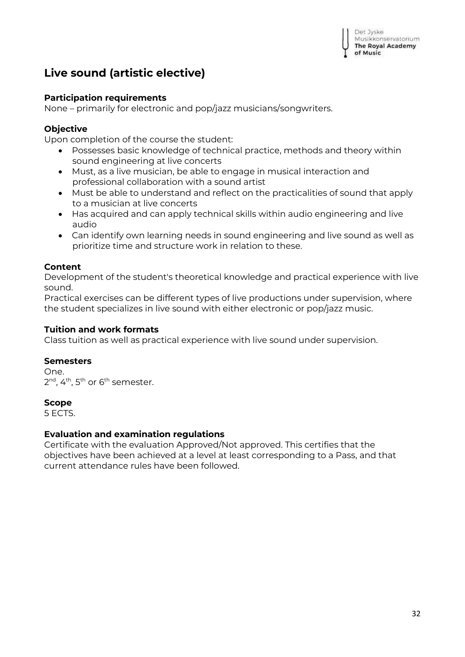Det Jyske Musikkonservatorium The Royal Academy of Music

# <span id="page-31-0"></span>**Live sound (artistic elective)**

#### **Participation requirements**

None – primarily for electronic and pop/jazz musicians/songwriters.

#### **Objective**

Upon completion of the course the student:

- Possesses basic knowledge of technical practice, methods and theory within sound engineering at live concerts
- Must, as a live musician, be able to engage in musical interaction and professional collaboration with a sound artist
- Must be able to understand and reflect on the practicalities of sound that apply to a musician at live concerts
- Has acquired and can apply technical skills within audio engineering and live audio
- Can identify own learning needs in sound engineering and live sound as well as prioritize time and structure work in relation to these.

#### **Content**

Development of the student's theoretical knowledge and practical experience with live sound.

Practical exercises can be different types of live productions under supervision, where the student specializes in live sound with either electronic or pop/jazz music.

#### **Tuition and work formats**

Class tuition as well as practical experience with live sound under supervision.

#### **Semesters**

One. 2<sup>nd</sup>, 4<sup>th</sup>, 5<sup>th</sup> or 6<sup>th</sup> semester.

#### **Scope**

5 ECTS.

#### **Evaluation and examination regulations**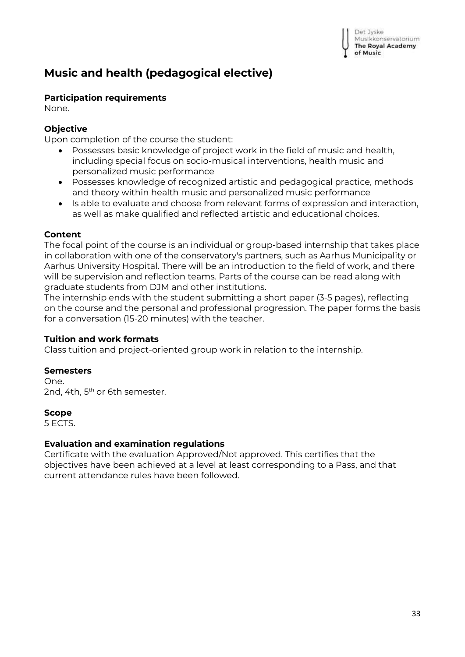# <span id="page-32-0"></span>**Music and health (pedagogical elective)**

# **Participation requirements**

None.

# **Objective**

Upon completion of the course the student:

- Possesses basic knowledge of project work in the field of music and health, including special focus on socio-musical interventions, health music and personalized music performance
- Possesses knowledge of recognized artistic and pedagogical practice, methods and theory within health music and personalized music performance
- Is able to evaluate and choose from relevant forms of expression and interaction, as well as make qualified and reflected artistic and educational choices.

# **Content**

The focal point of the course is an individual or group-based internship that takes place in collaboration with one of the conservatory's partners, such as Aarhus Municipality or Aarhus University Hospital. There will be an introduction to the field of work, and there will be supervision and reflection teams. Parts of the course can be read along with graduate students from DJM and other institutions.

The internship ends with the student submitting a short paper (3-5 pages), reflecting on the course and the personal and professional progression. The paper forms the basis for a conversation (15-20 minutes) with the teacher.

# **Tuition and work formats**

Class tuition and project-oriented group work in relation to the internship.

# **Semesters**

One. 2nd, 4th, 5<sup>th</sup> or 6th semester.

# **Scope**

5 ECTS.

# **Evaluation and examination regulations**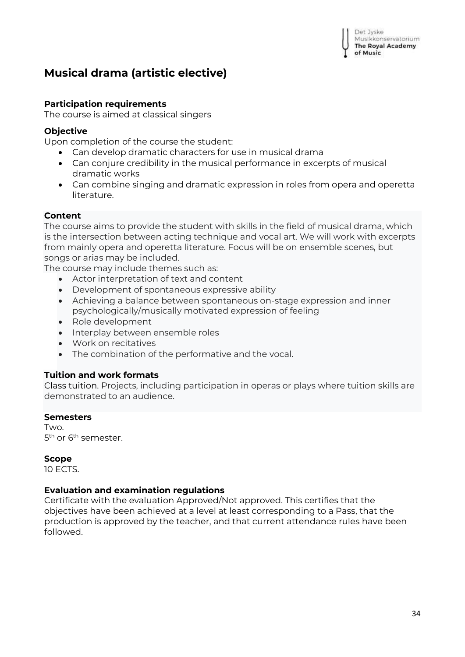Det Jyske Musikkonservatorium **The Royal Academy** of Music

# <span id="page-33-0"></span>**Musical drama (artistic elective)**

#### **Participation requirements**

The course is aimed at classical singers

#### **Objective**

Upon completion of the course the student:

- Can develop dramatic characters for use in musical drama
- Can conjure credibility in the musical performance in excerpts of musical dramatic works
- Can combine singing and dramatic expression in roles from opera and operetta literature.

#### **Content**

The course aims to provide the student with skills in the field of musical drama, which is the intersection between acting technique and vocal art. We will work with excerpts from mainly opera and operetta literature. Focus will be on ensemble scenes, but songs or arias may be included.

The course may include themes such as:

- Actor interpretation of text and content
- Development of spontaneous expressive ability
- Achieving a balance between spontaneous on-stage expression and inner psychologically/musically motivated expression of feeling
- Role development
- Interplay between ensemble roles
- Work on recitatives
- The combination of the performative and the vocal.

#### **Tuition and work formats**

Class tuition. Projects, including participation in operas or plays where tuition skills are demonstrated to an audience.

#### **Semesters**

Two. 5<sup>th</sup> or 6<sup>th</sup> semester.

#### **Scope**

10 ECTS.

#### **Evaluation and examination regulations**

Certificate with the evaluation Approved/Not approved. This certifies that the objectives have been achieved at a level at least corresponding to a Pass, that the production is approved by the teacher, and that current attendance rules have been followed.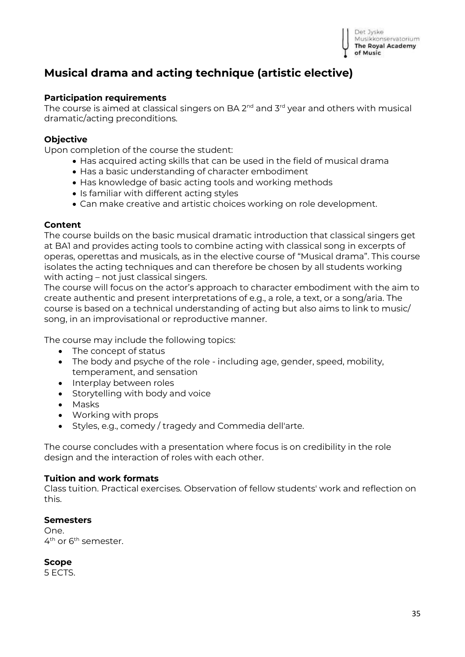

# <span id="page-34-0"></span>**Musical drama and acting technique (artistic elective)**

#### **Participation requirements**

The course is aimed at classical singers on BA 2<sup>nd</sup> and 3<sup>rd</sup> year and others with musical dramatic/acting preconditions.

#### **Objective**

Upon completion of the course the student:

- Has acquired acting skills that can be used in the field of musical drama
- Has a basic understanding of character embodiment
- Has knowledge of basic acting tools and working methods
- Is familiar with different acting styles
- Can make creative and artistic choices working on role development.

#### **Content**

The course builds on the basic musical dramatic introduction that classical singers get at BA1 and provides acting tools to combine acting with classical song in excerpts of operas, operettas and musicals, as in the elective course of "Musical drama". This course isolates the acting techniques and can therefore be chosen by all students working with acting – not just classical singers.

The course will focus on the actor's approach to character embodiment with the aim to create authentic and present interpretations of e.g., a role, a text, or a song/aria. The course is based on a technical understanding of acting but also aims to link to music/ song, in an improvisational or reproductive manner.

The course may include the following topics:

- The concept of status
- The body and psyche of the role including age, gender, speed, mobility, temperament, and sensation
- Interplay between roles
- Storytelling with body and voice
- Masks
- Working with props
- Styles, e.g., comedy / tragedy and Commedia dell'arte.

The course concludes with a presentation where focus is on credibility in the role design and the interaction of roles with each other.

#### **Tuition and work formats**

Class tuition. Practical exercises. Observation of fellow students' work and reflection on this.

#### **Semesters**

One. 4<sup>th</sup> or 6<sup>th</sup> semester.

**Scope** 5 ECTS.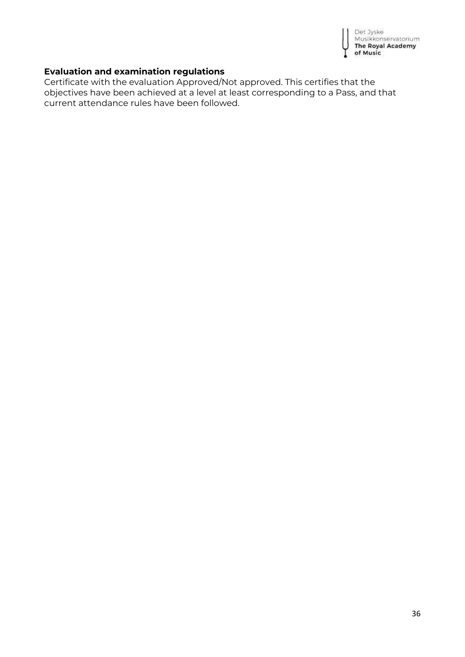

#### **Evaluation and examination regulations**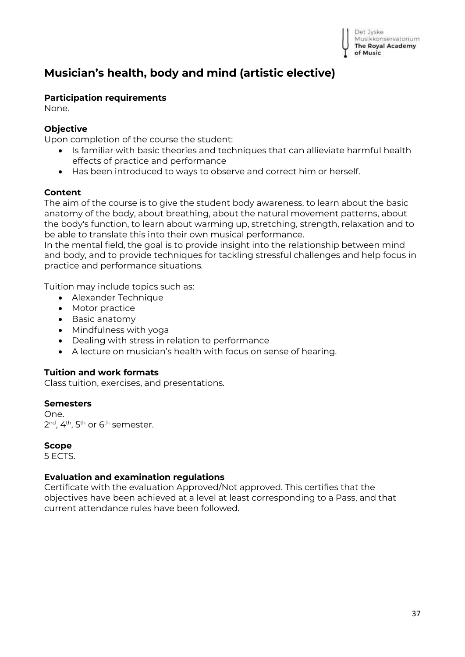# <span id="page-36-0"></span>**Musician's health, body and mind (artistic elective)**

#### **Participation requirements**

None.

### **Objective**

Upon completion of the course the student:

- Is familiar with basic theories and techniques that can allieviate harmful health effects of practice and performance
- Has been introduced to ways to observe and correct him or herself.

#### **Content**

The aim of the course is to give the student body awareness, to learn about the basic anatomy of the body, about breathing, about the natural movement patterns, about the body's function, to learn about warming up, stretching, strength, relaxation and to be able to translate this into their own musical performance.

In the mental field, the goal is to provide insight into the relationship between mind and body, and to provide techniques for tackling stressful challenges and help focus in practice and performance situations.

Tuition may include topics such as:

- Alexander Technique
- Motor practice
- Basic anatomy
- Mindfulness with yoga
- Dealing with stress in relation to performance
- A lecture on musician's health with focus on sense of hearing.

### **Tuition and work formats**

Class tuition, exercises, and presentations.

#### **Semesters**

One. 2<sup>nd</sup>, 4<sup>th</sup>, 5<sup>th</sup> or 6<sup>th</sup> semester.

#### **Scope**

5 ECTS.

#### **Evaluation and examination regulations**

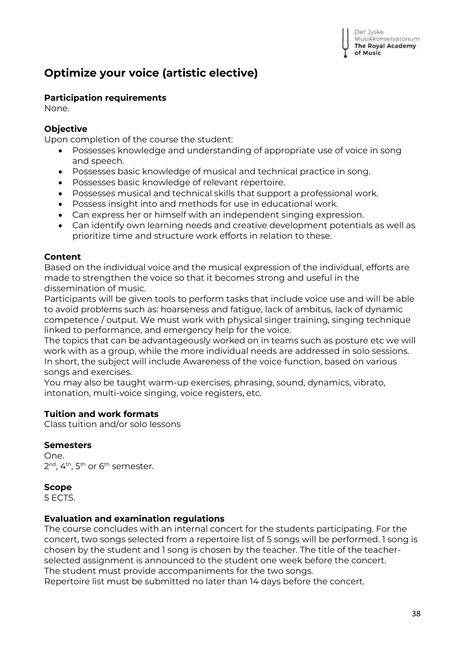# <span id="page-37-0"></span>**Optimize your voice (artistic elective)**

### **Participation requirements**

None.

## **Objective**

Upon completion of the course the student:

- Possesses knowledge and understanding of appropriate use of voice in song and speech.
- Possesses basic knowledge of musical and technical practice in song.
- Possesses basic knowledge of relevant repertoire.
- Possesses musical and technical skills that support a professional work.
- Possess insight into and methods for use in educational work.
- Can express her or himself with an independent singing expression.
- Can identify own learning needs and creative development potentials as well as prioritize time and structure work efforts in relation to these.

#### **Content**

Based on the individual voice and the musical expression of the individual, efforts are made to strengthen the voice so that it becomes strong and useful in the dissemination of music.

Participants will be given tools to perform tasks that include voice use and will be able to avoid problems such as: hoarseness and fatigue, lack of ambitus, lack of dynamic competence / output. We must work with physical singer training, singing technique linked to performance, and emergency help for the voice.

The topics that can be advantageously worked on in teams such as posture etc we will work with as a group, while the more individual needs are addressed in solo sessions. In short, the subject will include Awareness of the voice function, based on various songs and exercises.

You may also be taught warm-up exercises, phrasing, sound, dynamics, vibrato, intonation, multi-voice singing, voice registers, etc.

### **Tuition and work formats**

Class tuition and/or solo lessons

#### **Semesters**

One. 2<sup>nd</sup>, 4<sup>th</sup>, 5<sup>th</sup> or 6<sup>th</sup> semester.

### **Scope**

5 ECTS.

### **Evaluation and examination regulations**

The course concludes with an internal concert for the students participating. For the concert, two songs selected from a repertoire list of 5 songs will be performed. 1 song is chosen by the student and 1 song is chosen by the teacher. The title of the teacherselected assignment is announced to the student one week before the concert. The student must provide accompaniments for the two songs.

Repertoire list must be submitted no later than 14 days before the concert.

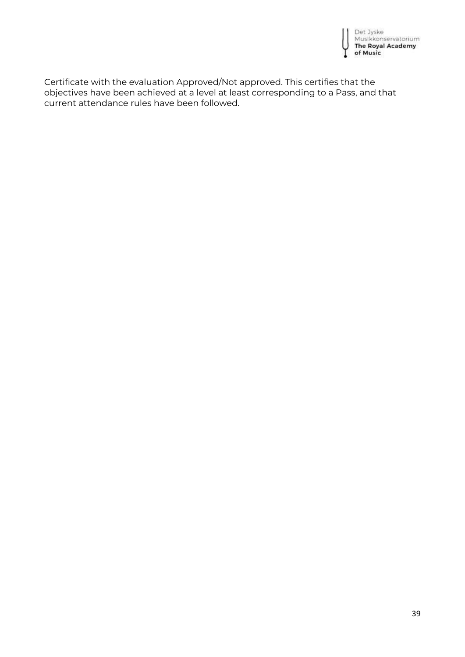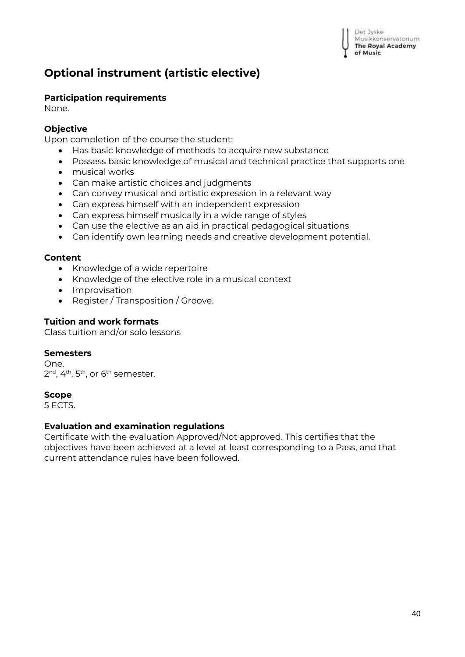# <span id="page-39-0"></span>**Optional instrument (artistic elective)**

# **Participation requirements**

None.

# **Objective**

Upon completion of the course the student:

- Has basic knowledge of methods to acquire new substance
- Possess basic knowledge of musical and technical practice that supports one
- musical works
- Can make artistic choices and judgments
- Can convey musical and artistic expression in a relevant way
- Can express himself with an independent expression
- Can express himself musically in a wide range of styles
- Can use the elective as an aid in practical pedagogical situations
- Can identify own learning needs and creative development potential.

### **Content**

- Knowledge of a wide repertoire
- Knowledge of the elective role in a musical context
- Improvisation
- Register / Transposition / Groove.

### **Tuition and work formats**

Class tuition and/or solo lessons

### **Semesters**

One. 2<sup>nd</sup>, 4<sup>th</sup>, 5<sup>th</sup>, or 6<sup>th</sup> semester.

### **Scope**

5 ECTS.

### **Evaluation and examination regulations**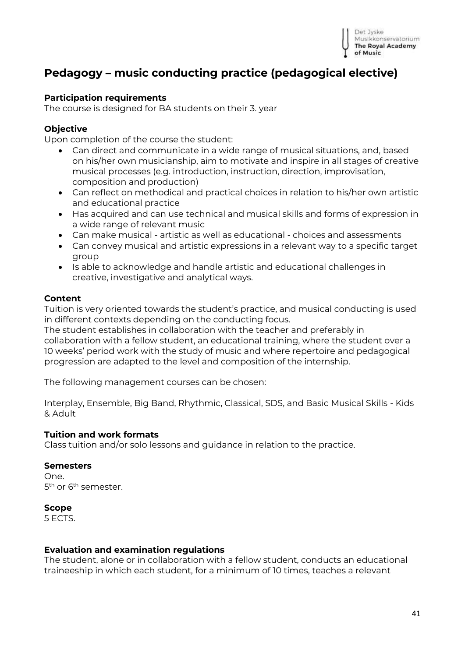

# <span id="page-40-0"></span>**Pedagogy – music conducting practice (pedagogical elective)**

#### **Participation requirements**

The course is designed for BA students on their 3. year

#### **Objective**

Upon completion of the course the student:

- Can direct and communicate in a wide range of musical situations, and, based on his/her own musicianship, aim to motivate and inspire in all stages of creative musical processes (e.g. introduction, instruction, direction, improvisation, composition and production)
- Can reflect on methodical and practical choices in relation to his/her own artistic and educational practice
- Has acquired and can use technical and musical skills and forms of expression in a wide range of relevant music
- Can make musical artistic as well as educational choices and assessments
- Can convey musical and artistic expressions in a relevant way to a specific target group
- Is able to acknowledge and handle artistic and educational challenges in creative, investigative and analytical ways.

#### **Content**

Tuition is very oriented towards the student's practice, and musical conducting is used in different contexts depending on the conducting focus.

The student establishes in collaboration with the teacher and preferably in collaboration with a fellow student, an educational training, where the student over a 10 weeks' period work with the study of music and where repertoire and pedagogical progression are adapted to the level and composition of the internship.

The following management courses can be chosen:

Interplay, Ensemble, Big Band, Rhythmic, Classical, SDS, and Basic Musical Skills - Kids & Adult

#### **Tuition and work formats**

Class tuition and/or solo lessons and guidance in relation to the practice.

#### **Semesters**

One. 5<sup>th</sup> or 6<sup>th</sup> semester.

#### **Scope**

5 ECTS.

#### **Evaluation and examination regulations**

The student, alone or in collaboration with a fellow student, conducts an educational traineeship in which each student, for a minimum of 10 times, teaches a relevant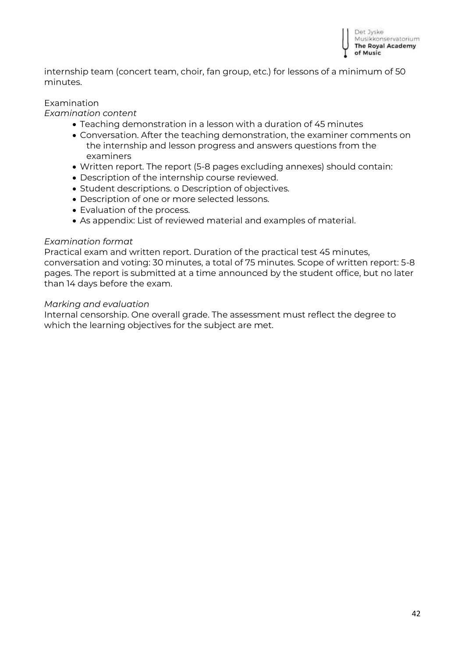

internship team (concert team, choir, fan group, etc.) for lessons of a minimum of 50 minutes.

#### Examination

#### *Examination content*

- Teaching demonstration in a lesson with a duration of 45 minutes
- Conversation. After the teaching demonstration, the examiner comments on the internship and lesson progress and answers questions from the examiners
- Written report. The report (5-8 pages excluding annexes) should contain:
- Description of the internship course reviewed.
- Student descriptions. o Description of objectives.
- Description of one or more selected lessons.
- Evaluation of the process.
- As appendix: List of reviewed material and examples of material.

#### *Examination format*

Practical exam and written report. Duration of the practical test 45 minutes, conversation and voting: 30 minutes, a total of 75 minutes. Scope of written report: 5-8 pages. The report is submitted at a time announced by the student office, but no later than 14 days before the exam.

#### *Marking and evaluation*

Internal censorship. One overall grade. The assessment must reflect the degree to which the learning objectives for the subject are met.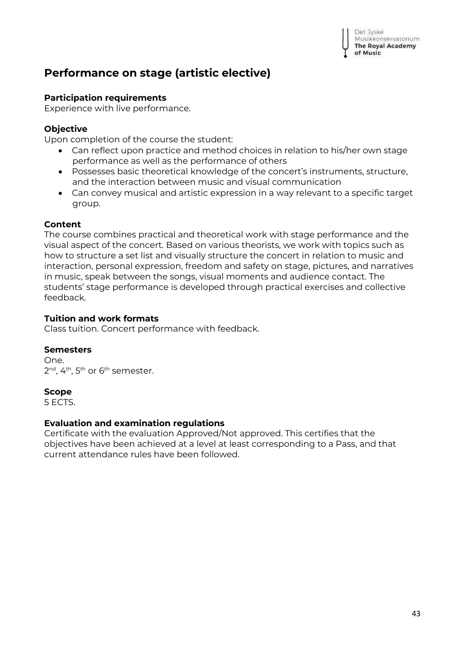# <span id="page-42-0"></span>**Performance on stage (artistic elective)**

# **Participation requirements**

Experience with live performance.

# **Objective**

Upon completion of the course the student:

- Can reflect upon practice and method choices in relation to his/her own stage performance as well as the performance of others
- Possesses basic theoretical knowledge of the concert's instruments, structure, and the interaction between music and visual communication
- Can convey musical and artistic expression in a way relevant to a specific target group.

#### **Content**

The course combines practical and theoretical work with stage performance and the visual aspect of the concert. Based on various theorists, we work with topics such as how to structure a set list and visually structure the concert in relation to music and interaction, personal expression, freedom and safety on stage, pictures, and narratives in music, speak between the songs, visual moments and audience contact. The students' stage performance is developed through practical exercises and collective feedback.

#### **Tuition and work formats**

Class tuition. Concert performance with feedback.

### **Semesters**

One. 2<sup>nd</sup>, 4<sup>th</sup>, 5<sup>th</sup> or 6<sup>th</sup> semester.

### **Scope**

5 ECTS.

#### **Evaluation and examination regulations**

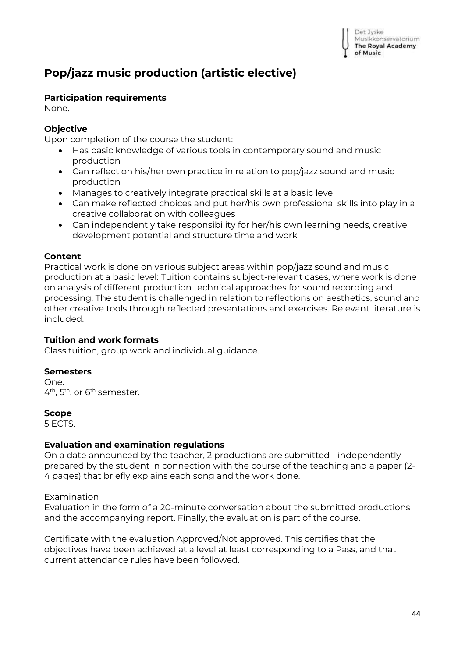

# <span id="page-43-0"></span>**Pop/jazz music production (artistic elective)**

# **Participation requirements**

None.

# **Objective**

Upon completion of the course the student:

- Has basic knowledge of various tools in contemporary sound and music production
- Can reflect on his/her own practice in relation to pop/jazz sound and music production
- Manages to creatively integrate practical skills at a basic level
- Can make reflected choices and put her/his own professional skills into play in a creative collaboration with colleagues
- Can independently take responsibility for her/his own learning needs, creative development potential and structure time and work

#### **Content**

Practical work is done on various subject areas within pop/jazz sound and music production at a basic level: Tuition contains subject-relevant cases, where work is done on analysis of different production technical approaches for sound recording and processing. The student is challenged in relation to reflections on aesthetics, sound and other creative tools through reflected presentations and exercises. Relevant literature is included.

### **Tuition and work formats**

Class tuition, group work and individual guidance.

#### **Semesters**

One. 4<sup>th</sup>, 5<sup>th</sup>, or 6<sup>th</sup> semester.

#### **Scope**

5 ECTS.

### **Evaluation and examination regulations**

On a date announced by the teacher, 2 productions are submitted - independently prepared by the student in connection with the course of the teaching and a paper (2- 4 pages) that briefly explains each song and the work done.

#### Examination

Evaluation in the form of a 20-minute conversation about the submitted productions and the accompanying report. Finally, the evaluation is part of the course.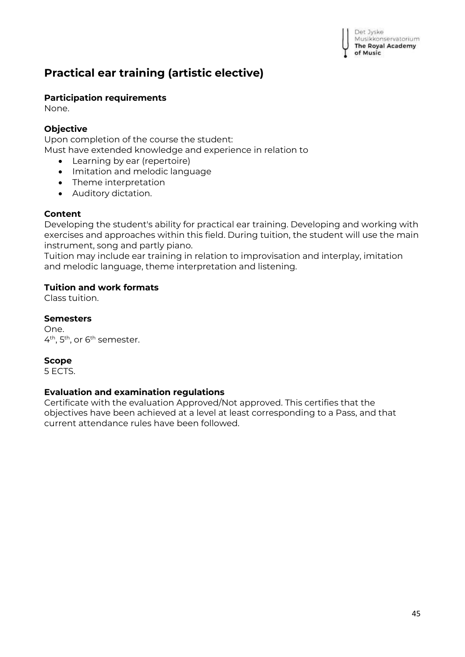# <span id="page-44-0"></span>**Practical ear training (artistic elective)**

# **Participation requirements**

None.

# **Objective**

Upon completion of the course the student:

- Must have extended knowledge and experience in relation to
	- Learning by ear (repertoire)
	- Imitation and melodic language
	- Theme interpretation
	- Auditory dictation.

# **Content**

Developing the student's ability for practical ear training. Developing and working with exercises and approaches within this field. During tuition, the student will use the main instrument, song and partly piano.

Tuition may include ear training in relation to improvisation and interplay, imitation and melodic language, theme interpretation and listening.

# **Tuition and work formats**

Class tuition.

# **Semesters**

One. 4<sup>th</sup>, 5<sup>th</sup>, or 6<sup>th</sup> semester.

# **Scope**

5 ECTS.

### **Evaluation and examination regulations**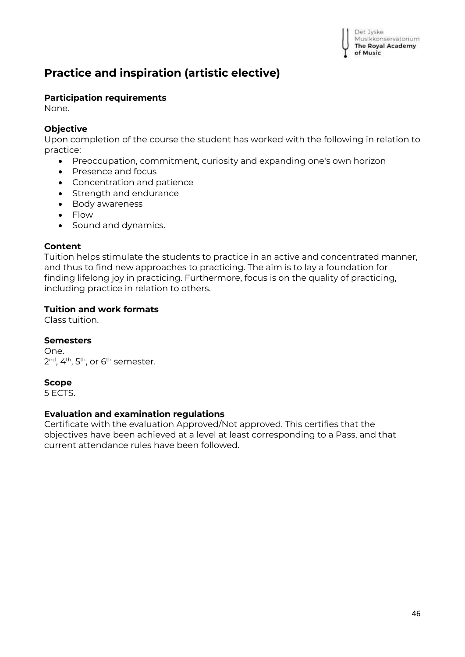

# <span id="page-45-0"></span>**Practice and inspiration (artistic elective)**

#### **Participation requirements**

None.

#### **Objective**

Upon completion of the course the student has worked with the following in relation to practice:

- Preoccupation, commitment, curiosity and expanding one's own horizon
- Presence and focus
- Concentration and patience
- Strength and endurance
- Body awareness
- Flow
- Sound and dynamics.

#### **Content**

Tuition helps stimulate the students to practice in an active and concentrated manner, and thus to find new approaches to practicing. The aim is to lay a foundation for finding lifelong joy in practicing. Furthermore, focus is on the quality of practicing, including practice in relation to others.

#### **Tuition and work formats**

Class tuition.

#### **Semesters**

One. 2<sup>nd</sup>, 4<sup>th</sup>, 5<sup>th</sup>, or 6<sup>th</sup> semester.

#### **Scope**

5 ECTS.

#### **Evaluation and examination regulations**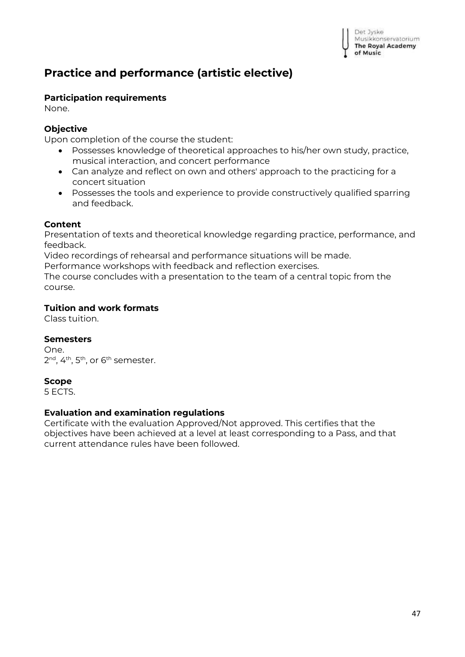# <span id="page-46-0"></span>**Practice and performance (artistic elective)**

## **Participation requirements**

None.

# **Objective**

Upon completion of the course the student:

- Possesses knowledge of theoretical approaches to his/her own study, practice, musical interaction, and concert performance
- Can analyze and reflect on own and others' approach to the practicing for a concert situation
- Possesses the tools and experience to provide constructively qualified sparring and feedback.

#### **Content**

Presentation of texts and theoretical knowledge regarding practice, performance, and feedback.

Video recordings of rehearsal and performance situations will be made.

Performance workshops with feedback and reflection exercises.

The course concludes with a presentation to the team of a central topic from the course.

### **Tuition and work formats**

Class tuition.

### **Semesters**

One. 2<sup>nd</sup>, 4<sup>th</sup>, 5<sup>th</sup>, or 6<sup>th</sup> semester.

### **Scope**

5 ECTS.

#### **Evaluation and examination regulations**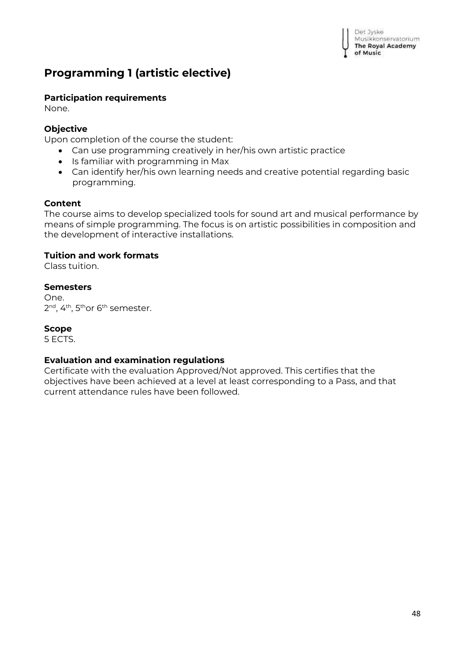# <span id="page-47-0"></span>**Programming 1 (artistic elective)**

# **Participation requirements**

None.

# **Objective**

Upon completion of the course the student:

- Can use programming creatively in her/his own artistic practice
- Is familiar with programming in Max
- Can identify her/his own learning needs and creative potential regarding basic programming.

# **Content**

The course aims to develop specialized tools for sound art and musical performance by means of simple programming. The focus is on artistic possibilities in composition and the development of interactive installations.

# **Tuition and work formats**

Class tuition.

# **Semesters**

One. 2<sup>nd</sup>, 4<sup>th</sup>, 5<sup>th</sup>or 6<sup>th</sup> semester.

### **Scope**

5 ECTS.

### **Evaluation and examination regulations**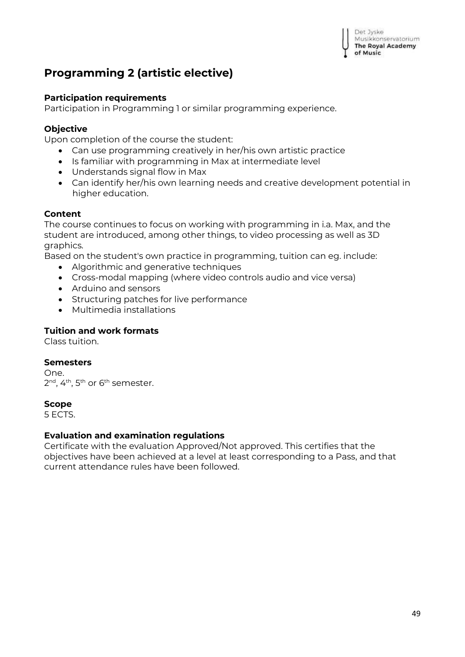Det Jyske Musikkonservatorium The Royal Academy of Music

# <span id="page-48-0"></span>**Programming 2 (artistic elective)**

#### **Participation requirements**

Participation in Programming 1 or similar programming experience.

#### **Objective**

Upon completion of the course the student:

- Can use programming creatively in her/his own artistic practice
- Is familiar with programming in Max at intermediate level
- Understands signal flow in Max
- Can identify her/his own learning needs and creative development potential in higher education.

#### **Content**

The course continues to focus on working with programming in i.a. Max, and the student are introduced, among other things, to video processing as well as 3D graphics.

Based on the student's own practice in programming, tuition can eg. include:

- Algorithmic and generative techniques
- Cross-modal mapping (where video controls audio and vice versa)
- Arduino and sensors
- Structuring patches for live performance
- Multimedia installations

#### **Tuition and work formats**

Class tuition.

#### **Semesters**

One. 2<sup>nd</sup>, 4<sup>th</sup>, 5<sup>th</sup> or 6<sup>th</sup> semester.

#### **Scope**

5 ECTS.

#### **Evaluation and examination regulations**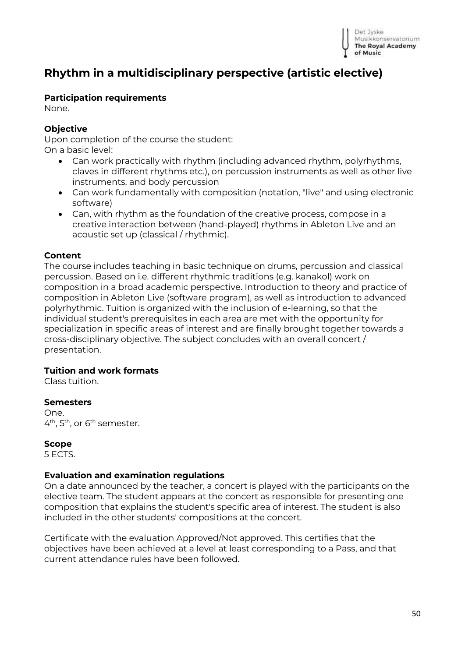

# <span id="page-49-0"></span>**Rhythm in a multidisciplinary perspective (artistic elective)**

#### **Participation requirements**

None.

#### **Objective**

Upon completion of the course the student: On a basic level:

- Can work practically with rhythm (including advanced rhythm, polyrhythms, claves in different rhythms etc.), on percussion instruments as well as other live instruments, and body percussion
- Can work fundamentally with composition (notation, "live" and using electronic software)
- Can, with rhythm as the foundation of the creative process, compose in a creative interaction between (hand-played) rhythms in Ableton Live and an acoustic set up (classical / rhythmic).

#### **Content**

The course includes teaching in basic technique on drums, percussion and classical percussion. Based on i.e. different rhythmic traditions (e.g. kanakol) work on composition in a broad academic perspective. Introduction to theory and practice of composition in Ableton Live (software program), as well as introduction to advanced polyrhythmic. Tuition is organized with the inclusion of e-learning, so that the individual student's prerequisites in each area are met with the opportunity for specialization in specific areas of interest and are finally brought together towards a cross-disciplinary objective. The subject concludes with an overall concert / presentation.

#### **Tuition and work formats**

Class tuition.

#### **Semesters**

One. 4<sup>th</sup>, 5<sup>th</sup>, or 6<sup>th</sup> semester.

#### **Scope**

5 ECTS.

#### **Evaluation and examination regulations**

On a date announced by the teacher, a concert is played with the participants on the elective team. The student appears at the concert as responsible for presenting one composition that explains the student's specific area of interest. The student is also included in the other students' compositions at the concert.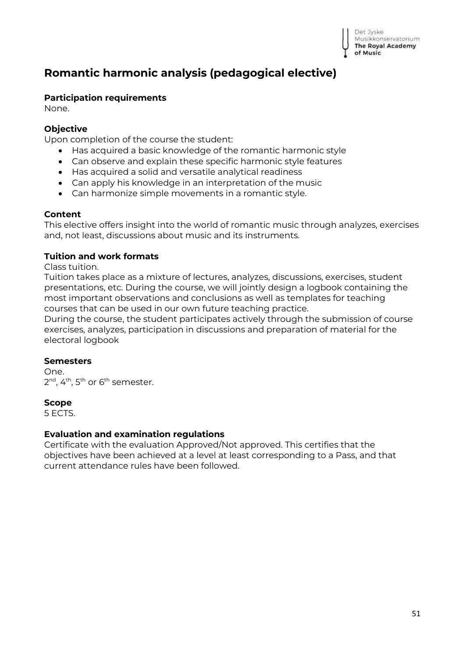# <span id="page-50-0"></span>**Romantic harmonic analysis (pedagogical elective)**

#### **Participation requirements**

None.

### **Objective**

Upon completion of the course the student:

- Has acquired a basic knowledge of the romantic harmonic style
- Can observe and explain these specific harmonic style features
- Has acquired a solid and versatile analytical readiness
- Can apply his knowledge in an interpretation of the music
- Can harmonize simple movements in a romantic style.

#### **Content**

This elective offers insight into the world of romantic music through analyzes, exercises and, not least, discussions about music and its instruments.

#### **Tuition and work formats**

Class tuition.

Tuition takes place as a mixture of lectures, analyzes, discussions, exercises, student presentations, etc. During the course, we will jointly design a logbook containing the most important observations and conclusions as well as templates for teaching courses that can be used in our own future teaching practice.

During the course, the student participates actively through the submission of course exercises, analyzes, participation in discussions and preparation of material for the electoral logbook

#### **Semesters**

One. 2<sup>nd</sup>, 4<sup>th</sup>, 5<sup>th</sup> or 6<sup>th</sup> semester.

#### **Scope**

5 ECTS.

#### **Evaluation and examination regulations**

Certificate with the evaluation Approved/Not approved. This certifies that the objectives have been achieved at a level at least corresponding to a Pass, and that current attendance rules have been followed.

Det Jyske Musikkonservatorium **The Royal Academy** of Music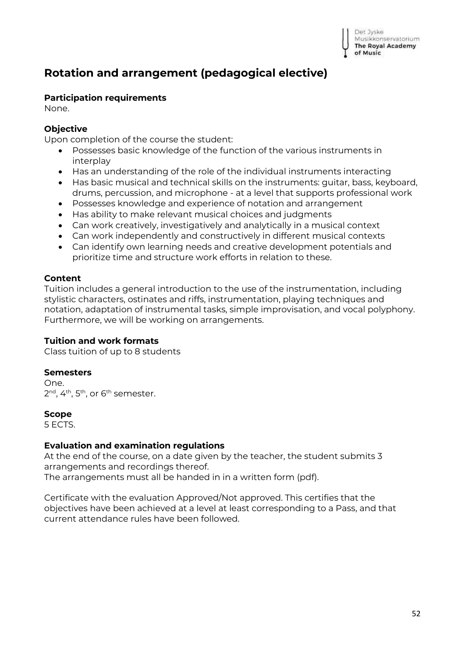# <span id="page-51-0"></span>**Rotation and arrangement (pedagogical elective)**

#### **Participation requirements**

None.

### **Objective**

Upon completion of the course the student:

- Possesses basic knowledge of the function of the various instruments in interplay
- Has an understanding of the role of the individual instruments interacting
- Has basic musical and technical skills on the instruments: guitar, bass, keyboard,
- drums, percussion, and microphone at a level that supports professional work
- Possesses knowledge and experience of notation and arrangement
- Has ability to make relevant musical choices and judgments
- Can work creatively, investigatively and analytically in a musical context
- Can work independently and constructively in different musical contexts
- Can identify own learning needs and creative development potentials and prioritize time and structure work efforts in relation to these.

#### **Content**

Tuition includes a general introduction to the use of the instrumentation, including stylistic characters, ostinates and riffs, instrumentation, playing techniques and notation, adaptation of instrumental tasks, simple improvisation, and vocal polyphony. Furthermore, we will be working on arrangements.

### **Tuition and work formats**

Class tuition of up to 8 students

#### **Semesters**

One. 2<sup>nd</sup>, 4<sup>th</sup>, 5<sup>th</sup>, or 6<sup>th</sup> semester.

#### **Scope**

5 ECTS.

### **Evaluation and examination regulations**

At the end of the course, on a date given by the teacher, the student submits 3 arrangements and recordings thereof. The arrangements must all be handed in in a written form (pdf).

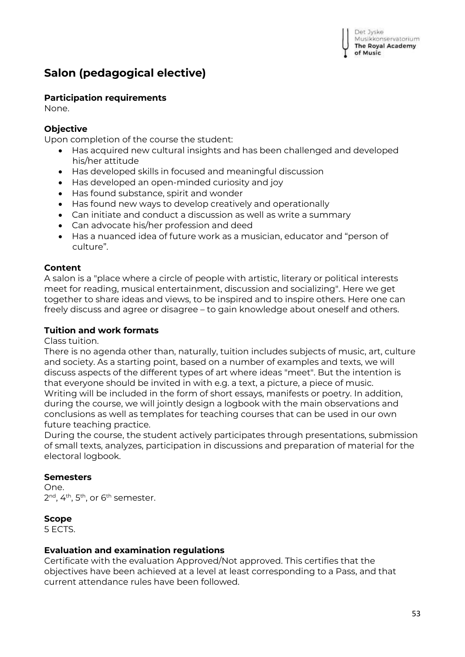Det Jyske Musikkonservatorium **The Royal Academy** of Music

# <span id="page-52-0"></span>**Salon (pedagogical elective)**

#### **Participation requirements**

None.

#### **Objective**

Upon completion of the course the student:

- Has acquired new cultural insights and has been challenged and developed his/her attitude
- Has developed skills in focused and meaningful discussion
- Has developed an open-minded curiosity and joy
- Has found substance, spirit and wonder
- Has found new ways to develop creatively and operationally
- Can initiate and conduct a discussion as well as write a summary
- Can advocate his/her profession and deed
- Has a nuanced idea of future work as a musician, educator and "person of culture".

### **Content**

A salon is a "place where a circle of people with artistic, literary or political interests meet for reading, musical entertainment, discussion and socializing". Here we get together to share ideas and views, to be inspired and to inspire others. Here one can freely discuss and agree or disagree – to gain knowledge about oneself and others.

#### **Tuition and work formats**

Class tuition.

There is no agenda other than, naturally, tuition includes subjects of music, art, culture and society. As a starting point, based on a number of examples and texts, we will discuss aspects of the different types of art where ideas "meet". But the intention is that everyone should be invited in with e.g. a text, a picture, a piece of music. Writing will be included in the form of short essays, manifests or poetry. In addition, during the course, we will jointly design a logbook with the main observations and conclusions as well as templates for teaching courses that can be used in our own future teaching practice.

During the course, the student actively participates through presentations, submission of small texts, analyzes, participation in discussions and preparation of material for the electoral logbook.

#### **Semesters**

One. 2<sup>nd</sup>, 4<sup>th</sup>, 5<sup>th</sup>, or 6<sup>th</sup> semester.

#### **Scope**

5 ECTS.

#### **Evaluation and examination regulations**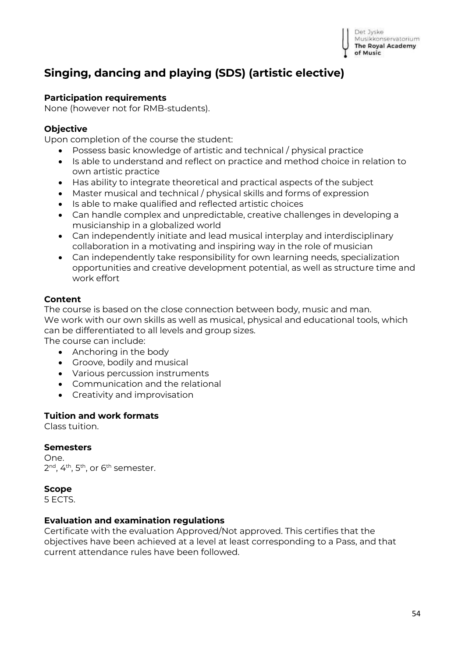# <span id="page-53-0"></span>**Singing, dancing and playing (SDS) (artistic elective)**

#### **Participation requirements**

None (however not for RMB-students).

#### **Objective**

Upon completion of the course the student:

- Possess basic knowledge of artistic and technical / physical practice
- Is able to understand and reflect on practice and method choice in relation to own artistic practice
- Has ability to integrate theoretical and practical aspects of the subject
- Master musical and technical / physical skills and forms of expression
- Is able to make qualified and reflected artistic choices
- Can handle complex and unpredictable, creative challenges in developing a musicianship in a globalized world
- Can independently initiate and lead musical interplay and interdisciplinary collaboration in a motivating and inspiring way in the role of musician
- Can independently take responsibility for own learning needs, specialization opportunities and creative development potential, as well as structure time and work effort

#### **Content**

The course is based on the close connection between body, music and man. We work with our own skills as well as musical, physical and educational tools, which can be differentiated to all levels and group sizes.

The course can include:

- Anchoring in the body
- Groove, bodily and musical
- Various percussion instruments
- Communication and the relational
- Creativity and improvisation

#### **Tuition and work formats**

Class tuition.

#### **Semesters**

One. 2<sup>nd</sup>, 4<sup>th</sup>, 5<sup>th</sup>, or 6<sup>th</sup> semester.

#### **Scope**

5 ECTS.

#### **Evaluation and examination regulations**

Certificate with the evaluation Approved/Not approved. This certifies that the objectives have been achieved at a level at least corresponding to a Pass, and that current attendance rules have been followed.

Det Jyske Musikkonservatorium **The Royal Academy** of Music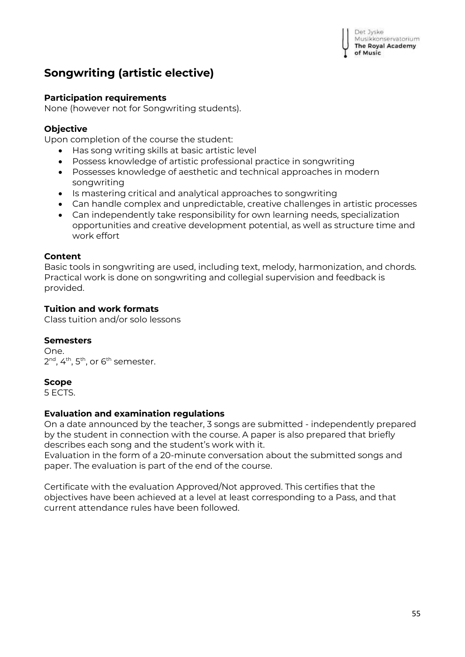Det Jyske Musikkonservatorium **The Royal Academy** of Music

# <span id="page-54-0"></span>**Songwriting (artistic elective)**

#### **Participation requirements**

None (however not for Songwriting students).

#### **Objective**

Upon completion of the course the student:

- Has song writing skills at basic artistic level
- Possess knowledge of artistic professional practice in songwriting
- Possesses knowledge of aesthetic and technical approaches in modern songwriting
- Is mastering critical and analytical approaches to songwriting
- Can handle complex and unpredictable, creative challenges in artistic processes
- Can independently take responsibility for own learning needs, specialization opportunities and creative development potential, as well as structure time and work effort

#### **Content**

Basic tools in songwriting are used, including text, melody, harmonization, and chords. Practical work is done on songwriting and collegial supervision and feedback is provided.

#### **Tuition and work formats**

Class tuition and/or solo lessons

#### **Semesters**

One. 2<sup>nd</sup>, 4<sup>th</sup>, 5<sup>th</sup>, or 6<sup>th</sup> semester.

#### **Scope**

5 ECTS.

#### **Evaluation and examination regulations**

On a date announced by the teacher, 3 songs are submitted - independently prepared by the student in connection with the course. A paper is also prepared that briefly describes each song and the student's work with it.

Evaluation in the form of a 20-minute conversation about the submitted songs and paper. The evaluation is part of the end of the course.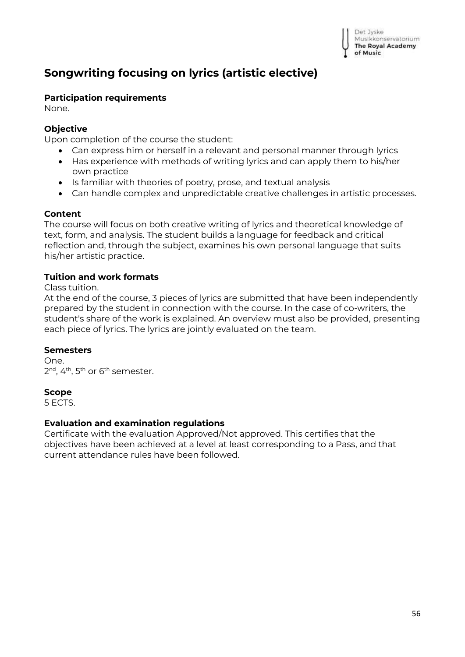

# <span id="page-55-0"></span>**Songwriting focusing on lyrics (artistic elective)**

#### **Participation requirements**

None.

#### **Objective**

Upon completion of the course the student:

- Can express him or herself in a relevant and personal manner through lyrics
- Has experience with methods of writing lyrics and can apply them to his/her own practice
- Is familiar with theories of poetry, prose, and textual analysis
- Can handle complex and unpredictable creative challenges in artistic processes.

#### **Content**

The course will focus on both creative writing of lyrics and theoretical knowledge of text, form, and analysis. The student builds a language for feedback and critical reflection and, through the subject, examines his own personal language that suits his/her artistic practice.

#### **Tuition and work formats**

#### Class tuition.

At the end of the course, 3 pieces of lyrics are submitted that have been independently prepared by the student in connection with the course. In the case of co-writers, the student's share of the work is explained. An overview must also be provided, presenting each piece of lyrics. The lyrics are jointly evaluated on the team.

#### **Semesters**

One. 2<sup>nd</sup>, 4<sup>th</sup>, 5<sup>th</sup> or 6<sup>th</sup> semester.

#### **Scope**

5 ECTS.

#### **Evaluation and examination regulations**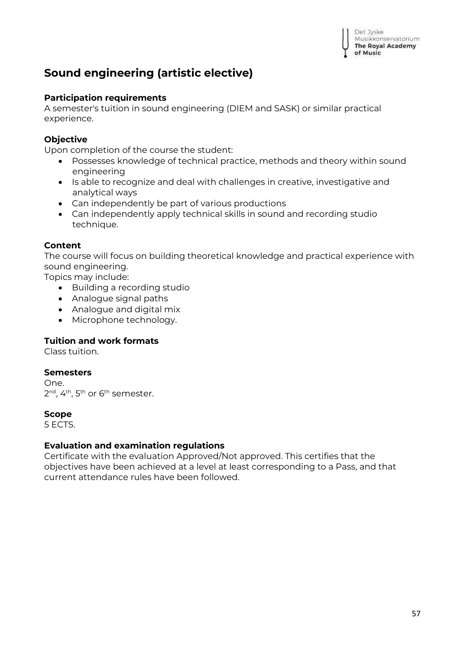

# <span id="page-56-0"></span>**Sound engineering (artistic elective)**

#### **Participation requirements**

A semester's tuition in sound engineering (DIEM and SASK) or similar practical experience.

#### **Objective**

Upon completion of the course the student:

- Possesses knowledge of technical practice, methods and theory within sound engineering
- Is able to recognize and deal with challenges in creative, investigative and analytical ways
- Can independently be part of various productions
- Can independently apply technical skills in sound and recording studio technique.

#### **Content**

The course will focus on building theoretical knowledge and practical experience with sound engineering.

Topics may include:

- Building a recording studio
- Analogue signal paths
- Analogue and digital mix
- Microphone technology.

#### **Tuition and work formats**

Class tuition.

#### **Semesters**

One. 2<sup>nd</sup>, 4<sup>th</sup>, 5<sup>th</sup> or 6<sup>th</sup> semester.

#### **Scope**

5 ECTS.

#### **Evaluation and examination regulations**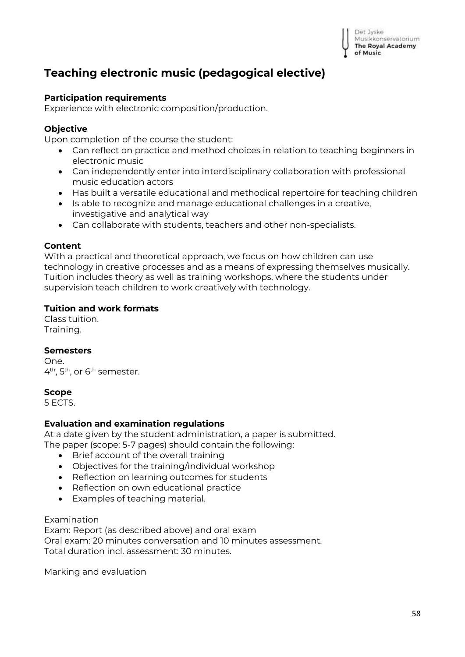

# <span id="page-57-0"></span>**Teaching electronic music (pedagogical elective)**

#### **Participation requirements**

Experience with electronic composition/production.

#### **Objective**

Upon completion of the course the student:

- Can reflect on practice and method choices in relation to teaching beginners in electronic music
- Can independently enter into interdisciplinary collaboration with professional music education actors
- Has built a versatile educational and methodical repertoire for teaching children
- Is able to recognize and manage educational challenges in a creative, investigative and analytical way
- Can collaborate with students, teachers and other non-specialists.

#### **Content**

With a practical and theoretical approach, we focus on how children can use technology in creative processes and as a means of expressing themselves musically. Tuition includes theory as well as training workshops, where the students under supervision teach children to work creatively with technology.

#### **Tuition and work formats**

Class tuition. Training.

#### **Semesters**

One. 4<sup>th</sup>, 5<sup>th</sup>, or 6<sup>th</sup> semester.

#### **Scope**

5 ECTS.

#### **Evaluation and examination regulations**

At a date given by the student administration, a paper is submitted.

The paper (scope: 5-7 pages) should contain the following:

- Brief account of the overall training
- Objectives for the training/individual workshop
- Reflection on learning outcomes for students
- Reflection on own educational practice
- Examples of teaching material.

#### Examination

Exam: Report (as described above) and oral exam Oral exam: 20 minutes conversation and 10 minutes assessment. Total duration incl. assessment: 30 minutes.

Marking and evaluation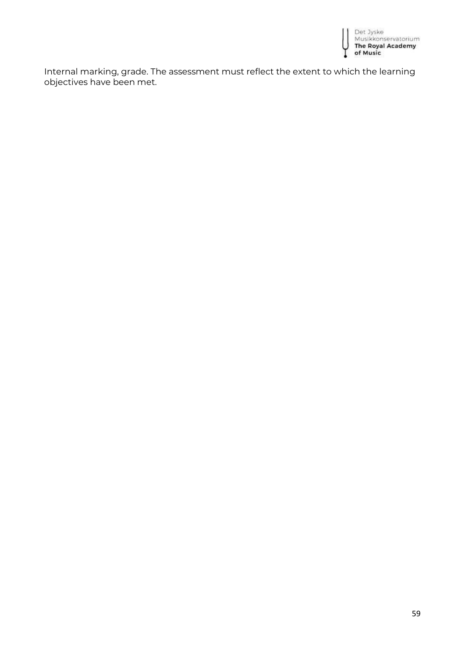

Internal marking, grade. The assessment must reflect the extent to which the learning objectives have been met.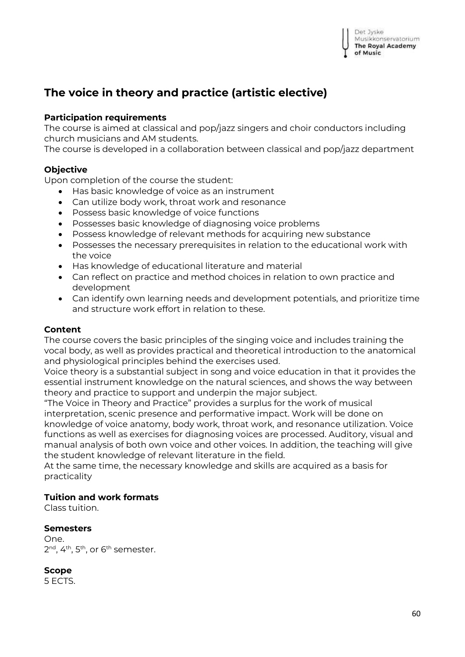# <span id="page-59-0"></span>**The voice in theory and practice (artistic elective)**

#### **Participation requirements**

The course is aimed at classical and pop/jazz singers and choir conductors including church musicians and AM students.

The course is developed in a collaboration between classical and pop/jazz department

#### **Objective**

Upon completion of the course the student:

- Has basic knowledge of voice as an instrument
- Can utilize body work, throat work and resonance
- Possess basic knowledge of voice functions
- Possesses basic knowledge of diagnosing voice problems
- Possess knowledge of relevant methods for acquiring new substance
- Possesses the necessary prerequisites in relation to the educational work with the voice
- Has knowledge of educational literature and material
- Can reflect on practice and method choices in relation to own practice and development
- Can identify own learning needs and development potentials, and prioritize time and structure work effort in relation to these.

#### **Content**

The course covers the basic principles of the singing voice and includes training the vocal body, as well as provides practical and theoretical introduction to the anatomical and physiological principles behind the exercises used.

Voice theory is a substantial subject in song and voice education in that it provides the essential instrument knowledge on the natural sciences, and shows the way between theory and practice to support and underpin the major subject.

"The Voice in Theory and Practice" provides a surplus for the work of musical interpretation, scenic presence and performative impact. Work will be done on knowledge of voice anatomy, body work, throat work, and resonance utilization. Voice functions as well as exercises for diagnosing voices are processed. Auditory, visual and manual analysis of both own voice and other voices. In addition, the teaching will give the student knowledge of relevant literature in the field.

At the same time, the necessary knowledge and skills are acquired as a basis for practicality

#### **Tuition and work formats**

Class tuition.

#### **Semesters**

One. 2<sup>nd</sup>, 4<sup>th</sup>, 5<sup>th</sup>, or 6<sup>th</sup> semester.

**Scope**

5 ECTS.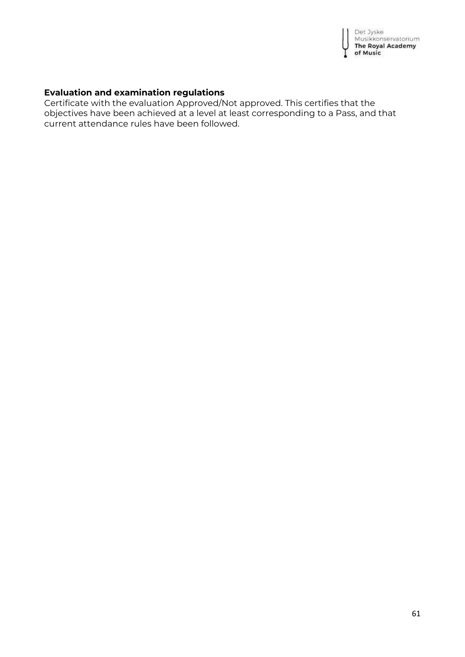

### **Evaluation and examination regulations**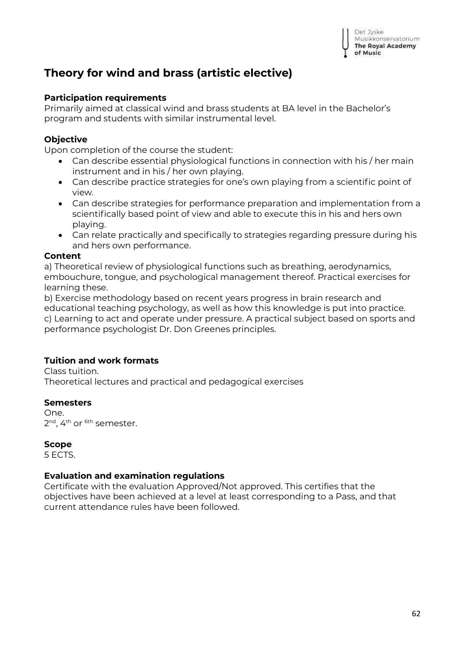

# <span id="page-61-0"></span>**Theory for wind and brass (artistic elective)**

#### **Participation requirements**

Primarily aimed at classical wind and brass students at BA level in the Bachelor's program and students with similar instrumental level.

#### **Objective**

Upon completion of the course the student:

- Can describe essential physiological functions in connection with his / her main instrument and in his / her own playing.
- Can describe practice strategies for one's own playing from a scientific point of view.
- Can describe strategies for performance preparation and implementation from a scientifically based point of view and able to execute this in his and hers own playing.
- Can relate practically and specifically to strategies regarding pressure during his and hers own performance.

#### **Content**

a) Theoretical review of physiological functions such as breathing, aerodynamics, embouchure, tongue, and psychological management thereof. Practical exercises for learning these.

b) Exercise methodology based on recent years progress in brain research and educational teaching psychology, as well as how this knowledge is put into practice. c) Learning to act and operate under pressure. A practical subject based on sports and performance psychologist Dr. Don Greenes principles.

#### **Tuition and work formats**

Class tuition. Theoretical lectures and practical and pedagogical exercises

#### **Semesters**

One. 2<sup>nd</sup>, 4<sup>th</sup> or <sup>6th</sup> semester.

#### **Scope**

5 ECTS.

#### **Evaluation and examination regulations**